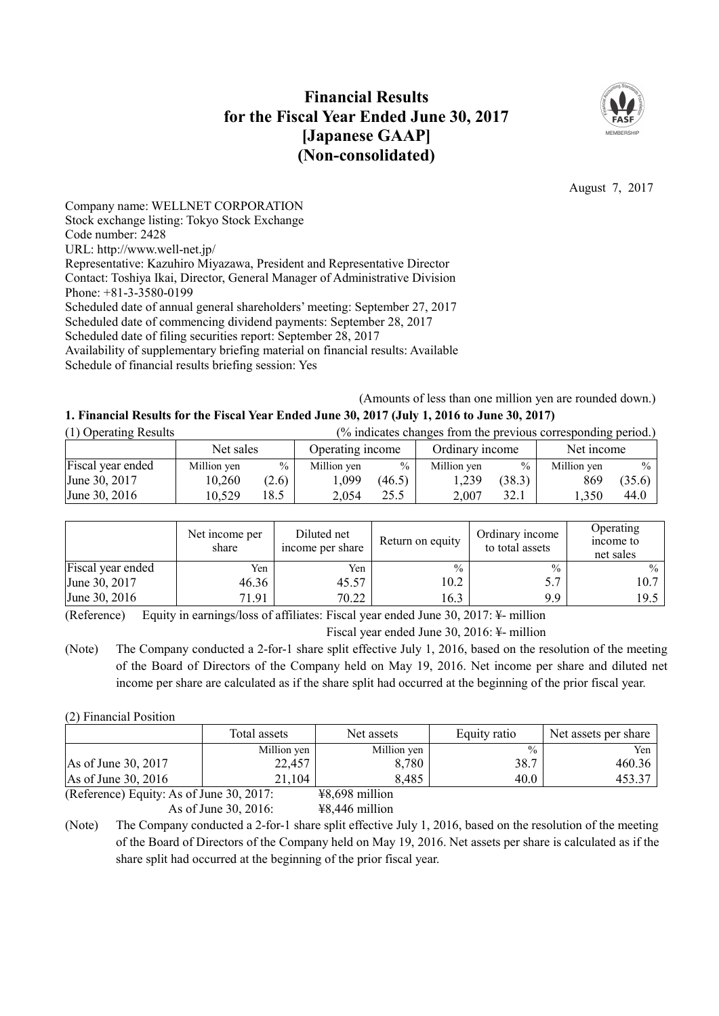# **Financial Results for the Fiscal Year Ended June 30, 2017 [Japanese GAAP] (Non-consolidated)**



August 7, 2017

Company name: WELLNET CORPORATION Stock exchange listing: Tokyo Stock Exchange Code number: 2428 URL: http://www.well-net.jp/ Representative: Kazuhiro Miyazawa, President and Representative Director Contact: Toshiya Ikai, Director, General Manager of Administrative Division Phone: +81-3-3580-0199 Scheduled date of annual general shareholders' meeting: September 27, 2017 Scheduled date of commencing dividend payments: September 28, 2017 Scheduled date of filing securities report: September 28, 2017 Availability of supplementary briefing material on financial results: Available Schedule of financial results briefing session: Yes

(Amounts of less than one million yen are rounded down.)

## **1. Financial Results for the Fiscal Year Ended June 30, 2017 (July 1, 2016 to June 30, 2017)**

| (1) Operating Results | (% indicates changes from the previous corresponding period.) |               |                  |               |                 |               |             |               |
|-----------------------|---------------------------------------------------------------|---------------|------------------|---------------|-----------------|---------------|-------------|---------------|
|                       | Net sales                                                     |               | Operating income |               | Ordinary income |               | Net income  |               |
| Fiscal year ended     | Million yen                                                   | $\frac{0}{0}$ | Million yen      | $\frac{0}{0}$ | Million yen     | $\frac{0}{0}$ | Million yen | $\frac{0}{2}$ |
| June 30, 2017         | 10,260                                                        | (2.6)         | 1,099            | (46.5)        | 1,239           | (38.3)        | 869         | (35.6)        |
| June 30, 2016         | 10,529                                                        | 18.5          | 2.054            | 25.5          | 2.007           | 32.1          | .350        | 44.0          |

|                   | Net income per<br>share | Diluted net<br>income per share | Return on equity | Ordinary income<br>to total assets | Operating<br>income to<br>net sales |
|-------------------|-------------------------|---------------------------------|------------------|------------------------------------|-------------------------------------|
| Fiscal year ended | Yen                     | Yen                             | $\frac{0}{0}$    | $\frac{0}{0}$                      | $\%$                                |
| June 30, 2017     | 46.36                   | 45.57                           | 10.2             |                                    | 10.7                                |
| June 30, 2016     | 71.91                   | 70.22                           | 16.3             | 9.9                                | 19.5                                |

(Reference) Equity in earnings/loss of affiliates: Fiscal year ended June 30, 2017: ¥- million Fiscal year ended June 30, 2016: ¥- million

(Note) The Company conducted a 2-for-1 share split effective July 1, 2016, based on the resolution of the meeting of the Board of Directors of the Company held on May 19, 2016. Net income per share and diluted net income per share are calculated as if the share split had occurred at the beginning of the prior fiscal year.

(2) Financial Position

|                               | Total assets | Net assets        | Equity ratio  | Net assets per share |
|-------------------------------|--------------|-------------------|---------------|----------------------|
|                               | Million yen  | Million yen       | $\frac{0}{0}$ | Yen                  |
| $\text{As of June } 30, 2017$ | 22,457       | 8,780             | 38.7          | 460.36               |
| $\text{As of June } 30, 2016$ | 21.104       | 8,485             | 40.0          | 453.37               |
| $(D \text{ of } x \text{) }$  |              | $VQ$ $6Q$ million |               |                      |

(Reference) Equity: As of June 30, 2017: ¥8,698 million As of June 30, 2016: ¥8,446 million

(Note) The Company conducted a 2-for-1 share split effective July 1, 2016, based on the resolution of the meeting of the Board of Directors of the Company held on May 19, 2016. Net assets per share is calculated as if the share split had occurred at the beginning of the prior fiscal year.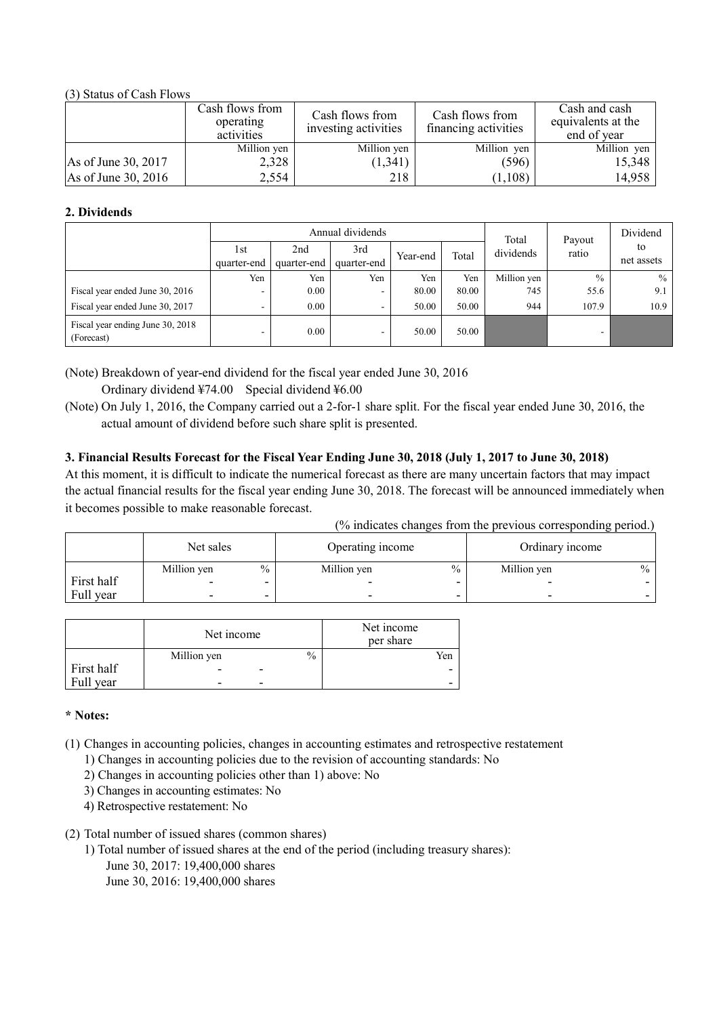## (3) Status of Cash Flows

|                     | Cash flows from<br>operating<br>activities | Cash flows from<br>investing activities | Cash flows from<br>financing activities | Cash and cash<br>equivalents at the<br>end of year |
|---------------------|--------------------------------------------|-----------------------------------------|-----------------------------------------|----------------------------------------------------|
|                     | Million yen                                | Million yen                             | Million yen                             | Million yen                                        |
| As of June 30, 2017 | 2,328                                      | (1,341)                                 | (596)                                   | 15,348                                             |
| As of June 30, 2016 | 2,554                                      | 218                                     | (1,108)                                 | 14,958                                             |

## **2. Dividends**

| Annual dividends                               |                    |                    |                    |          | Total | Payout      | Dividend      |                  |
|------------------------------------------------|--------------------|--------------------|--------------------|----------|-------|-------------|---------------|------------------|
|                                                | 1st<br>quarter-end | 2nd<br>quarter-end | 3rd<br>quarter-end | Year-end | Total | dividends   | ratio         | to<br>net assets |
|                                                | Yen                | Yen                | Yen                | Yen      | Yen   | Million yen | $\frac{0}{0}$ | $\frac{0}{0}$    |
| Fiscal year ended June 30, 2016                | ۰                  | 0.00               | -                  | 80.00    | 80.00 | 745         | 55.6          | 9.1              |
| Fiscal year ended June 30, 2017                | ۰                  | 0.00               | -                  | 50.00    | 50.00 | 944         | 107.9         | 10.9             |
| Fiscal year ending June 30, 2018<br>(Forecast) | ۰                  | 0.00               | -                  | 50.00    | 50.00 |             | -             |                  |

(Note) Breakdown of year-end dividend for the fiscal year ended June 30, 2016 Ordinary dividend ¥74.00 Special dividend ¥6.00

(Note) On July 1, 2016, the Company carried out a 2-for-1 share split. For the fiscal year ended June 30, 2016, the actual amount of dividend before such share split is presented.

## 3. Financial Results Forecast for the Fiscal Year Ending June 30, 2018 (July 1, 2017 to June 30, 2018)

At this moment, it is difficult to indicate the numerical forecast as there are many uncertain factors that may impact the actual financial results for the fiscal year ending June 30, 2018. The forecast will be announced immediately when it becomes possible to make reasonable forecast.

|  |  | (% indicates changes from the previous corresponding period.) |  |
|--|--|---------------------------------------------------------------|--|
|  |  |                                                               |  |

|            | Net sales   |               | Operating income         |               | Ordinary income |               |
|------------|-------------|---------------|--------------------------|---------------|-----------------|---------------|
|            | Million yen | $\frac{0}{0}$ | Million yen              | $\frac{0}{0}$ | Million yen     | $\frac{0}{0}$ |
| First half | -           |               |                          |               | -               |               |
| Full year  | ۰           | ۰             | $\overline{\phantom{0}}$ | -             | -               |               |

|            | Net income               |      | Net income<br>per share |
|------------|--------------------------|------|-------------------------|
|            | Million yen              | $\%$ | Yen                     |
| First half | -                        |      | -                       |
| Full year  | $\overline{\phantom{0}}$ |      | -                       |

## **\* Notes:**

(1) Changes in accounting policies, changes in accounting estimates and retrospective restatement

- 1) Changes in accounting policies due to the revision of accounting standards: No
- 2) Changes in accounting policies other than 1) above: No
- 3) Changes in accounting estimates: No
- 4) Retrospective restatement: No
- (2) Total number of issued shares (common shares)
	- 1) Total number of issued shares at the end of the period (including treasury shares):
		- June 30, 2017: 19,400,000 shares
		- June 30, 2016: 19,400,000 shares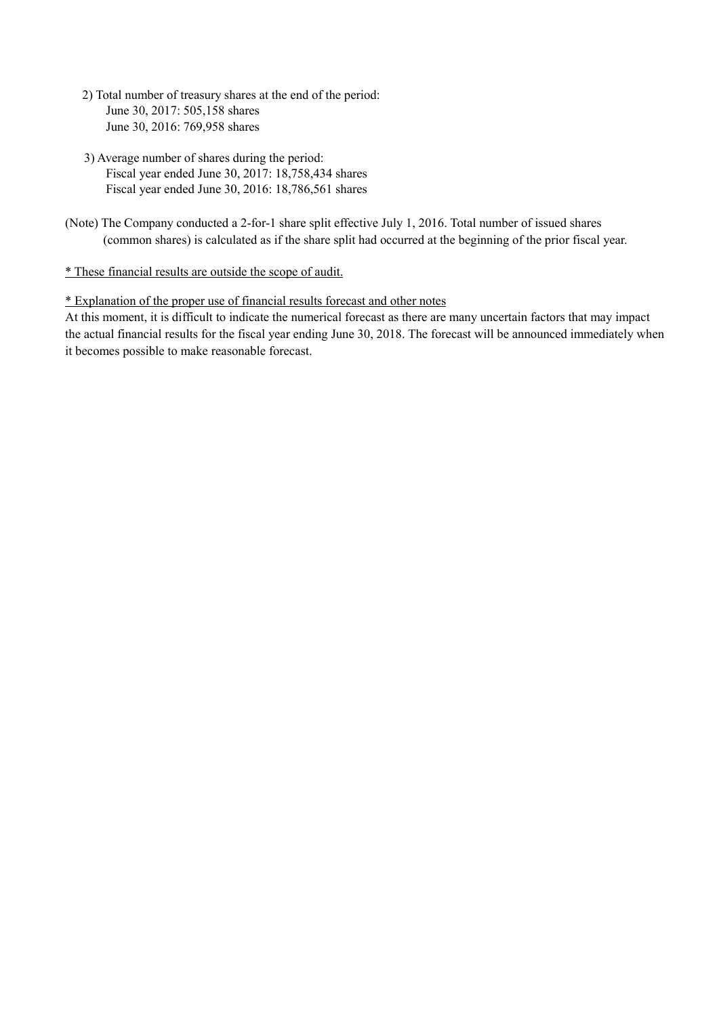- 2) Total number of treasury shares at the end of the period: June 30, 2017: 505,158 shares June 30, 2016: 769,958 shares
- 3) Average number of shares during the period: Fiscal year ended June 30, 2017: 18,758,434 shares Fiscal year ended June 30, 2016: 18,786,561 shares
- (Note) The Company conducted a 2-for-1 share split effective July 1, 2016. Total number of issued shares (common shares) is calculated as if the share split had occurred at the beginning of the prior fiscal year.

## \* These financial results are outside the scope of audit.

## \* Explanation of the proper use of financial results forecast and other notes

At this moment, it is difficult to indicate the numerical forecast as there are many uncertain factors that may impact the actual financial results for the fiscal year ending June 30, 2018. The forecast will be announced immediately when it becomes possible to make reasonable forecast.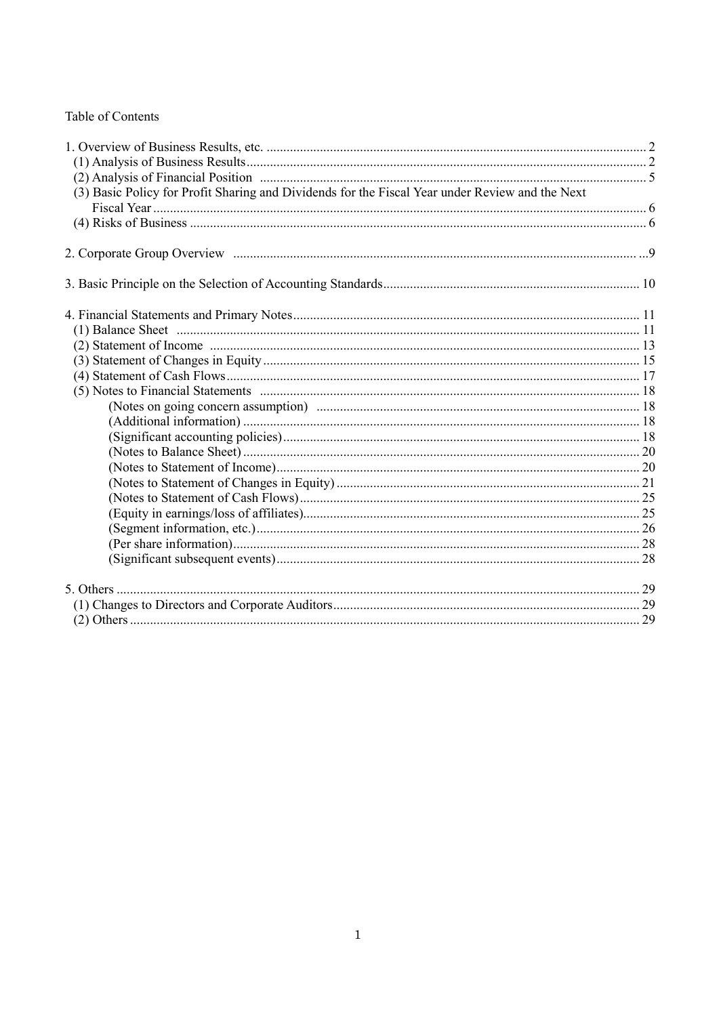## Table of Contents

| (3) Basic Policy for Profit Sharing and Dividends for the Fiscal Year under Review and the Next |  |
|-------------------------------------------------------------------------------------------------|--|
|                                                                                                 |  |
|                                                                                                 |  |
|                                                                                                 |  |
|                                                                                                 |  |
|                                                                                                 |  |
|                                                                                                 |  |
|                                                                                                 |  |
|                                                                                                 |  |
|                                                                                                 |  |
|                                                                                                 |  |
|                                                                                                 |  |
|                                                                                                 |  |
|                                                                                                 |  |
|                                                                                                 |  |
|                                                                                                 |  |
|                                                                                                 |  |
|                                                                                                 |  |
|                                                                                                 |  |
|                                                                                                 |  |
|                                                                                                 |  |
|                                                                                                 |  |
|                                                                                                 |  |
|                                                                                                 |  |
|                                                                                                 |  |
|                                                                                                 |  |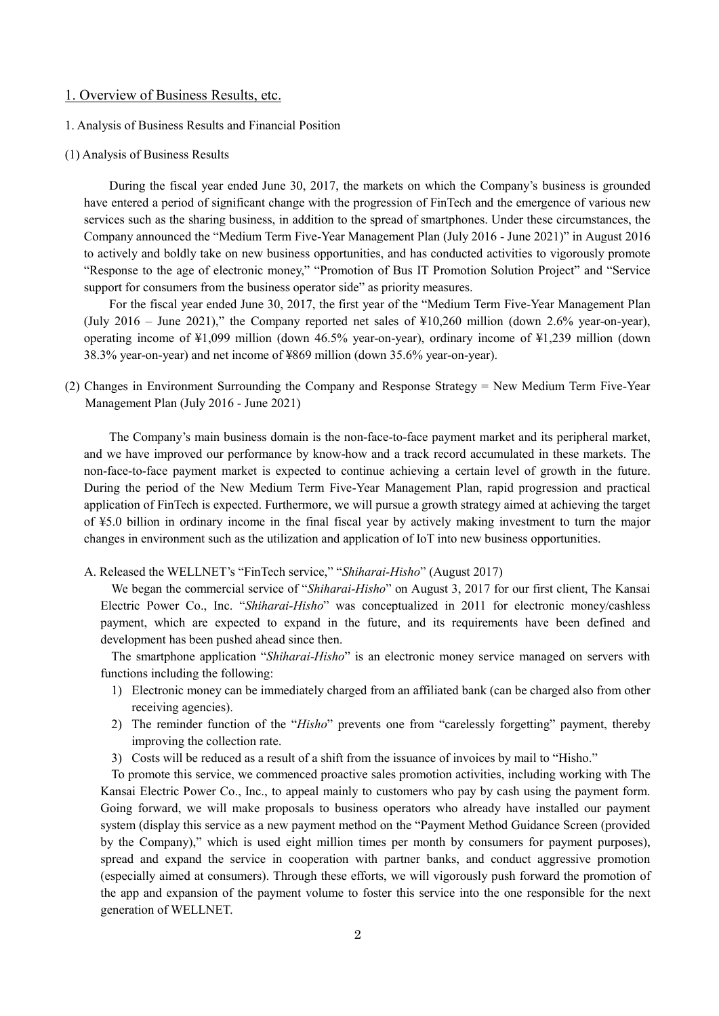### 1. Overview of Business Results, etc.

- 1. Analysis of Business Results and Financial Position
- (1) Analysis of Business Results

During the fiscal year ended June 30, 2017, the markets on which the Company's business is grounded have entered a period of significant change with the progression of FinTech and the emergence of various new services such as the sharing business, in addition to the spread of smartphones. Under these circumstances, the Company announced the "Medium Term Five-Year Management Plan (July 2016 - June 2021)" in August 2016 to actively and boldly take on new business opportunities, and has conducted activities to vigorously promote "Response to the age of electronic money," "Promotion of Bus IT Promotion Solution Project" and "Service support for consumers from the business operator side" as priority measures.

For the fiscal year ended June 30, 2017, the first year of the "Medium Term Five-Year Management Plan (July 2016 – June 2021)," the Company reported net sales of ¥10,260 million (down 2.6% year-on-year), operating income of ¥1,099 million (down 46.5% year-on-year), ordinary income of ¥1,239 million (down 38.3% year-on-year) and net income of ¥869 million (down 35.6% year-on-year).

(2) Changes in Environment Surrounding the Company and Response Strategy = New Medium Term Five-Year Management Plan (July 2016 - June 2021)

The Company's main business domain is the non-face-to-face payment market and its peripheral market, and we have improved our performance by know-how and a track record accumulated in these markets. The non-face-to-face payment market is expected to continue achieving a certain level of growth in the future. During the period of the New Medium Term Five-Year Management Plan, rapid progression and practical application of FinTech is expected. Furthermore, we will pursue a growth strategy aimed at achieving the target of ¥5.0 billion in ordinary income in the final fiscal year by actively making investment to turn the major changes in environment such as the utilization and application of IoT into new business opportunities.

A. Released the WELLNET's "FinTech service," "*Shiharai-Hisho*" (August 2017)

We began the commercial service of "*Shiharai-Hisho*" on August 3, 2017 for our first client, The Kansai Electric Power Co., Inc. "*Shiharai-Hisho*" was conceptualized in 2011 for electronic money/cashless payment, which are expected to expand in the future, and its requirements have been defined and development has been pushed ahead since then.

The smartphone application "*Shiharai-Hisho*" is an electronic money service managed on servers with functions including the following:

- 1) Electronic money can be immediately charged from an affiliated bank (can be charged also from other receiving agencies).
- 2) The reminder function of the "*Hisho*" prevents one from "carelessly forgetting" payment, thereby improving the collection rate.
- 3) Costs will be reduced as a result of a shift from the issuance of invoices by mail to "Hisho."

To promote this service, we commenced proactive sales promotion activities, including working with The Kansai Electric Power Co., Inc., to appeal mainly to customers who pay by cash using the payment form. Going forward, we will make proposals to business operators who already have installed our payment system (display this service as a new payment method on the "Payment Method Guidance Screen (provided by the Company)," which is used eight million times per month by consumers for payment purposes), spread and expand the service in cooperation with partner banks, and conduct aggressive promotion (especially aimed at consumers). Through these efforts, we will vigorously push forward the promotion of the app and expansion of the payment volume to foster this service into the one responsible for the next generation of WELLNET.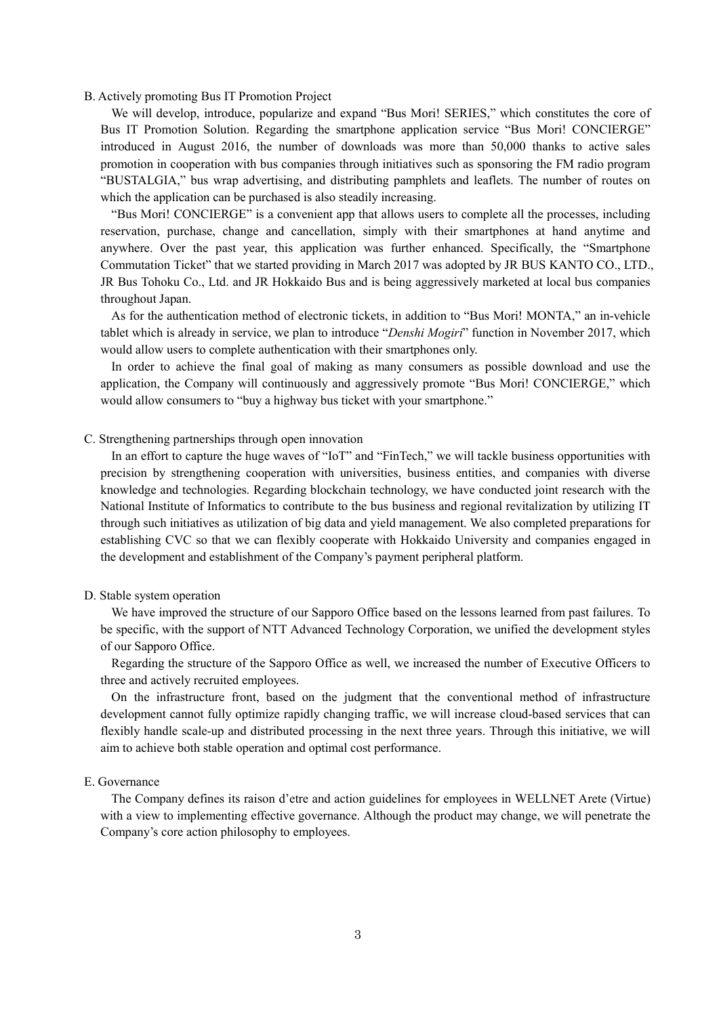#### B. Actively promoting Bus IT Promotion Project

We will develop, introduce, popularize and expand "Bus Mori! SERIES," which constitutes the core of Bus IT Promotion Solution. Regarding the smartphone application service "Bus Mori! CONCIERGE" introduced in August 2016, the number of downloads was more than 50,000 thanks to active sales promotion in cooperation with bus companies through initiatives such as sponsoring the FM radio program "BUSTALGIA," bus wrap advertising, and distributing pamphlets and leaflets. The number of routes on which the application can be purchased is also steadily increasing.

"Bus Mori! CONCIERGE" is a convenient app that allows users to complete all the processes, including reservation, purchase, change and cancellation, simply with their smartphones at hand anytime and anywhere. Over the past year, this application was further enhanced. Specifically, the "Smartphone Commutation Ticket" that we started providing in March 2017 was adopted by JR BUS KANTO CO., LTD., JR Bus Tohoku Co., Ltd. and JR Hokkaido Bus and is being aggressively marketed at local bus companies throughout Japan.

As for the authentication method of electronic tickets, in addition to "Bus Mori! MONTA," an in-vehicle tablet which is already in service, we plan to introduce "*Denshi Mogiri*" function in November 2017, which would allow users to complete authentication with their smartphones only.

In order to achieve the final goal of making as many consumers as possible download and use the application, the Company will continuously and aggressively promote "Bus Mori! CONCIERGE," which would allow consumers to "buy a highway bus ticket with your smartphone."

#### C. Strengthening partnerships through open innovation

In an effort to capture the huge waves of "IoT" and "FinTech," we will tackle business opportunities with precision by strengthening cooperation with universities, business entities, and companies with diverse knowledge and technologies. Regarding blockchain technology, we have conducted joint research with the National Institute of Informatics to contribute to the bus business and regional revitalization by utilizing IT through such initiatives as utilization of big data and yield management. We also completed preparations for establishing CVC so that we can flexibly cooperate with Hokkaido University and companies engaged in the development and establishment of the Company's payment peripheral platform.

#### D. Stable system operation

We have improved the structure of our Sapporo Office based on the lessons learned from past failures. To be specific, with the support of NTT Advanced Technology Corporation, we unified the development styles of our Sapporo Office.

Regarding the structure of the Sapporo Office as well, we increased the number of Executive Officers to three and actively recruited employees.

On the infrastructure front, based on the judgment that the conventional method of infrastructure development cannot fully optimize rapidly changing traffic, we will increase cloud-based services that can flexibly handle scale-up and distributed processing in the next three years. Through this initiative, we will aim to achieve both stable operation and optimal cost performance.

#### E. Governance

The Company defines its raison d'etre and action guidelines for employees in WELLNET Arete (Virtue) with a view to implementing effective governance. Although the product may change, we will penetrate the Company's core action philosophy to employees.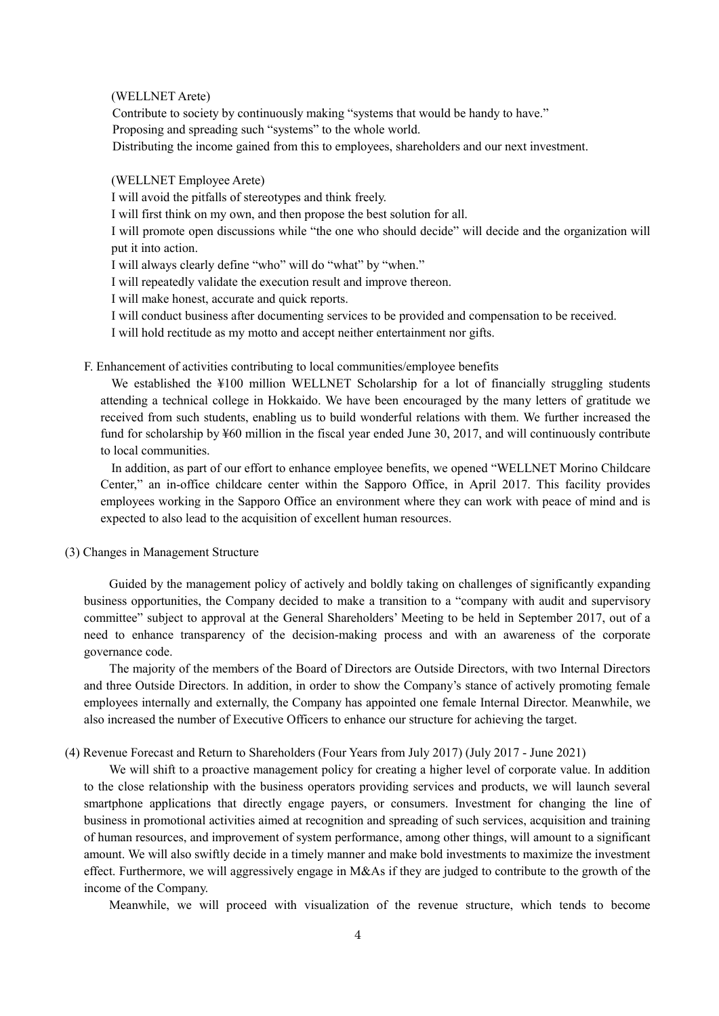(WELLNET Arete)

Contribute to society by continuously making "systems that would be handy to have." Proposing and spreading such "systems" to the whole world.

Distributing the income gained from this to employees, shareholders and our next investment.

(WELLNET Employee Arete)

I will avoid the pitfalls of stereotypes and think freely.

I will first think on my own, and then propose the best solution for all.

I will promote open discussions while "the one who should decide" will decide and the organization will put it into action.

I will always clearly define "who" will do "what" by "when."

I will repeatedly validate the execution result and improve thereon.

I will make honest, accurate and quick reports.

I will conduct business after documenting services to be provided and compensation to be received.

I will hold rectitude as my motto and accept neither entertainment nor gifts.

F. Enhancement of activities contributing to local communities/employee benefits

We established the ¥100 million WELLNET Scholarship for a lot of financially struggling students attending a technical college in Hokkaido. We have been encouraged by the many letters of gratitude we received from such students, enabling us to build wonderful relations with them. We further increased the fund for scholarship by ¥60 million in the fiscal year ended June 30, 2017, and will continuously contribute to local communities.

In addition, as part of our effort to enhance employee benefits, we opened "WELLNET Morino Childcare Center," an in-office childcare center within the Sapporo Office, in April 2017. This facility provides employees working in the Sapporo Office an environment where they can work with peace of mind and is expected to also lead to the acquisition of excellent human resources.

### (3) Changes in Management Structure

Guided by the management policy of actively and boldly taking on challenges of significantly expanding business opportunities, the Company decided to make a transition to a "company with audit and supervisory committee" subject to approval at the General Shareholders' Meeting to be held in September 2017, out of a need to enhance transparency of the decision-making process and with an awareness of the corporate governance code.

The majority of the members of the Board of Directors are Outside Directors, with two Internal Directors and three Outside Directors. In addition, in order to show the Company's stance of actively promoting female employees internally and externally, the Company has appointed one female Internal Director. Meanwhile, we also increased the number of Executive Officers to enhance our structure for achieving the target.

(4) Revenue Forecast and Return to Shareholders (Four Years from July 2017) (July 2017 - June 2021)

We will shift to a proactive management policy for creating a higher level of corporate value. In addition to the close relationship with the business operators providing services and products, we will launch several smartphone applications that directly engage payers, or consumers. Investment for changing the line of business in promotional activities aimed at recognition and spreading of such services, acquisition and training of human resources, and improvement of system performance, among other things, will amount to a significant amount. We will also swiftly decide in a timely manner and make bold investments to maximize the investment effect. Furthermore, we will aggressively engage in M&As if they are judged to contribute to the growth of the income of the Company.

Meanwhile, we will proceed with visualization of the revenue structure, which tends to become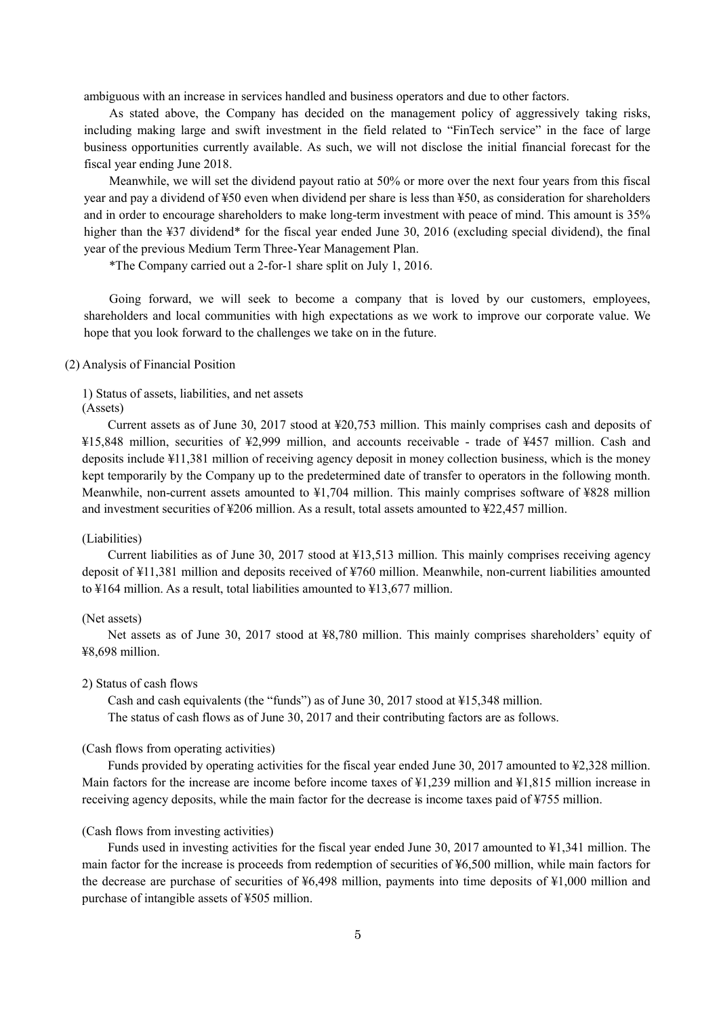ambiguous with an increase in services handled and business operators and due to other factors.

As stated above, the Company has decided on the management policy of aggressively taking risks, including making large and swift investment in the field related to "FinTech service" in the face of large business opportunities currently available. As such, we will not disclose the initial financial forecast for the fiscal year ending June 2018.

Meanwhile, we will set the dividend payout ratio at 50% or more over the next four years from this fiscal year and pay a dividend of ¥50 even when dividend per share is less than ¥50, as consideration for shareholders and in order to encourage shareholders to make long-term investment with peace of mind. This amount is 35% higher than the ¥37 dividend\* for the fiscal year ended June 30, 2016 (excluding special dividend), the final year of the previous Medium Term Three-Year Management Plan.

\*The Company carried out a 2-for-1 share split on July 1, 2016.

Going forward, we will seek to become a company that is loved by our customers, employees, shareholders and local communities with high expectations as we work to improve our corporate value. We hope that you look forward to the challenges we take on in the future.

#### (2) Analysis of Financial Position

1) Status of assets, liabilities, and net assets (Assets)

Current assets as of June 30, 2017 stood at ¥20,753 million. This mainly comprises cash and deposits of ¥15,848 million, securities of ¥2,999 million, and accounts receivable - trade of ¥457 million. Cash and deposits include ¥11,381 million of receiving agency deposit in money collection business, which is the money kept temporarily by the Company up to the predetermined date of transfer to operators in the following month. Meanwhile, non-current assets amounted to ¥1,704 million. This mainly comprises software of ¥828 million and investment securities of ¥206 million. As a result, total assets amounted to ¥22,457 million.

#### (Liabilities)

Current liabilities as of June 30, 2017 stood at ¥13,513 million. This mainly comprises receiving agency deposit of ¥11,381 million and deposits received of ¥760 million. Meanwhile, non-current liabilities amounted to ¥164 million. As a result, total liabilities amounted to ¥13,677 million.

### (Net assets)

Net assets as of June 30, 2017 stood at ¥8,780 million. This mainly comprises shareholders' equity of ¥8,698 million.

#### 2) Status of cash flows

Cash and cash equivalents (the "funds") as of June 30, 2017 stood at ¥15,348 million. The status of cash flows as of June 30, 2017 and their contributing factors are as follows.

#### (Cash flows from operating activities)

Funds provided by operating activities for the fiscal year ended June 30, 2017 amounted to \fac{2,328 million. Main factors for the increase are income before income taxes of ¥1,239 million and ¥1,815 million increase in receiving agency deposits, while the main factor for the decrease is income taxes paid of ¥755 million.

#### (Cash flows from investing activities)

Funds used in investing activities for the fiscal year ended June 30, 2017 amounted to ¥1,341 million. The main factor for the increase is proceeds from redemption of securities of ¥6,500 million, while main factors for the decrease are purchase of securities of ¥6,498 million, payments into time deposits of ¥1,000 million and purchase of intangible assets of ¥505 million.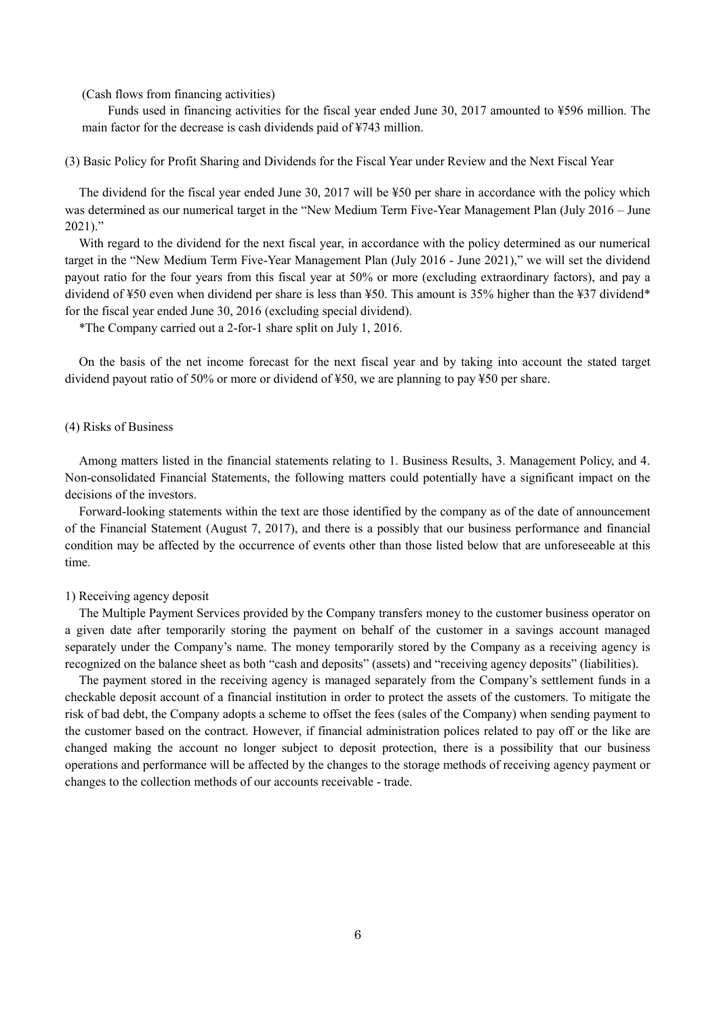(Cash flows from financing activities)

Funds used in financing activities for the fiscal year ended June 30, 2017 amounted to ¥596 million. The main factor for the decrease is cash dividends paid of ¥743 million.

(3) Basic Policy for Profit Sharing and Dividends for the Fiscal Year under Review and the Next Fiscal Year

The dividend for the fiscal year ended June 30, 2017 will be ¥50 per share in accordance with the policy which was determined as our numerical target in the "New Medium Term Five-Year Management Plan (July 2016 – June 2021)."

With regard to the dividend for the next fiscal year, in accordance with the policy determined as our numerical target in the "New Medium Term Five-Year Management Plan (July 2016 - June 2021)," we will set the dividend payout ratio for the four years from this fiscal year at 50% or more (excluding extraordinary factors), and pay a dividend of ¥50 even when dividend per share is less than ¥50. This amount is 35% higher than the ¥37 dividend\* for the fiscal year ended June 30, 2016 (excluding special dividend).

\*The Company carried out a 2-for-1 share split on July 1, 2016.

On the basis of the net income forecast for the next fiscal year and by taking into account the stated target dividend payout ratio of 50% or more or dividend of ¥50, we are planning to pay ¥50 per share.

#### (4) Risks of Business

Among matters listed in the financial statements relating to 1. Business Results, 3. Management Policy, and 4. Non-consolidated Financial Statements, the following matters could potentially have a significant impact on the decisions of the investors.

Forward-looking statements within the text are those identified by the company as of the date of announcement of the Financial Statement (August 7, 2017), and there is a possibly that our business performance and financial condition may be affected by the occurrence of events other than those listed below that are unforeseeable at this time.

#### 1) Receiving agency deposit

The Multiple Payment Services provided by the Company transfers money to the customer business operator on a given date after temporarily storing the payment on behalf of the customer in a savings account managed separately under the Company's name. The money temporarily stored by the Company as a receiving agency is recognized on the balance sheet as both "cash and deposits" (assets) and "receiving agency deposits" (liabilities).

The payment stored in the receiving agency is managed separately from the Company's settlement funds in a checkable deposit account of a financial institution in order to protect the assets of the customers. To mitigate the risk of bad debt, the Company adopts a scheme to offset the fees (sales of the Company) when sending payment to the customer based on the contract. However, if financial administration polices related to pay off or the like are changed making the account no longer subject to deposit protection, there is a possibility that our business operations and performance will be affected by the changes to the storage methods of receiving agency payment or changes to the collection methods of our accounts receivable - trade.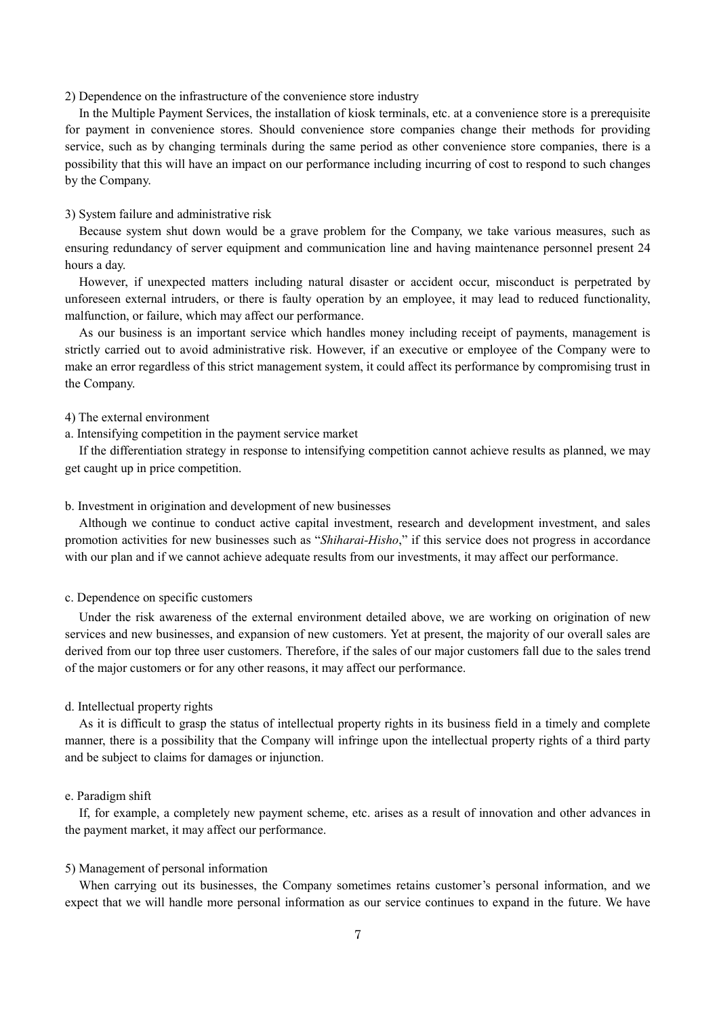#### 2) Dependence on the infrastructure of the convenience store industry

In the Multiple Payment Services, the installation of kiosk terminals, etc. at a convenience store is a prerequisite for payment in convenience stores. Should convenience store companies change their methods for providing service, such as by changing terminals during the same period as other convenience store companies, there is a possibility that this will have an impact on our performance including incurring of cost to respond to such changes by the Company.

#### 3) System failure and administrative risk

Because system shut down would be a grave problem for the Company, we take various measures, such as ensuring redundancy of server equipment and communication line and having maintenance personnel present 24 hours a day.

However, if unexpected matters including natural disaster or accident occur, misconduct is perpetrated by unforeseen external intruders, or there is faulty operation by an employee, it may lead to reduced functionality, malfunction, or failure, which may affect our performance.

As our business is an important service which handles money including receipt of payments, management is strictly carried out to avoid administrative risk. However, if an executive or employee of the Company were to make an error regardless of this strict management system, it could affect its performance by compromising trust in the Company.

### 4) The external environment

a. Intensifying competition in the payment service market

If the differentiation strategy in response to intensifying competition cannot achieve results as planned, we may get caught up in price competition.

#### b. Investment in origination and development of new businesses

Although we continue to conduct active capital investment, research and development investment, and sales promotion activities for new businesses such as "*Shiharai-Hisho*," if this service does not progress in accordance with our plan and if we cannot achieve adequate results from our investments, it may affect our performance.

#### c. Dependence on specific customers

Under the risk awareness of the external environment detailed above, we are working on origination of new services and new businesses, and expansion of new customers. Yet at present, the majority of our overall sales are derived from our top three user customers. Therefore, if the sales of our major customers fall due to the sales trend of the major customers or for any other reasons, it may affect our performance.

#### d. Intellectual property rights

As it is difficult to grasp the status of intellectual property rights in its business field in a timely and complete manner, there is a possibility that the Company will infringe upon the intellectual property rights of a third party and be subject to claims for damages or injunction.

#### e. Paradigm shift

If, for example, a completely new payment scheme, etc. arises as a result of innovation and other advances in the payment market, it may affect our performance.

#### 5) Management of personal information

When carrying out its businesses, the Company sometimes retains customer's personal information, and we expect that we will handle more personal information as our service continues to expand in the future. We have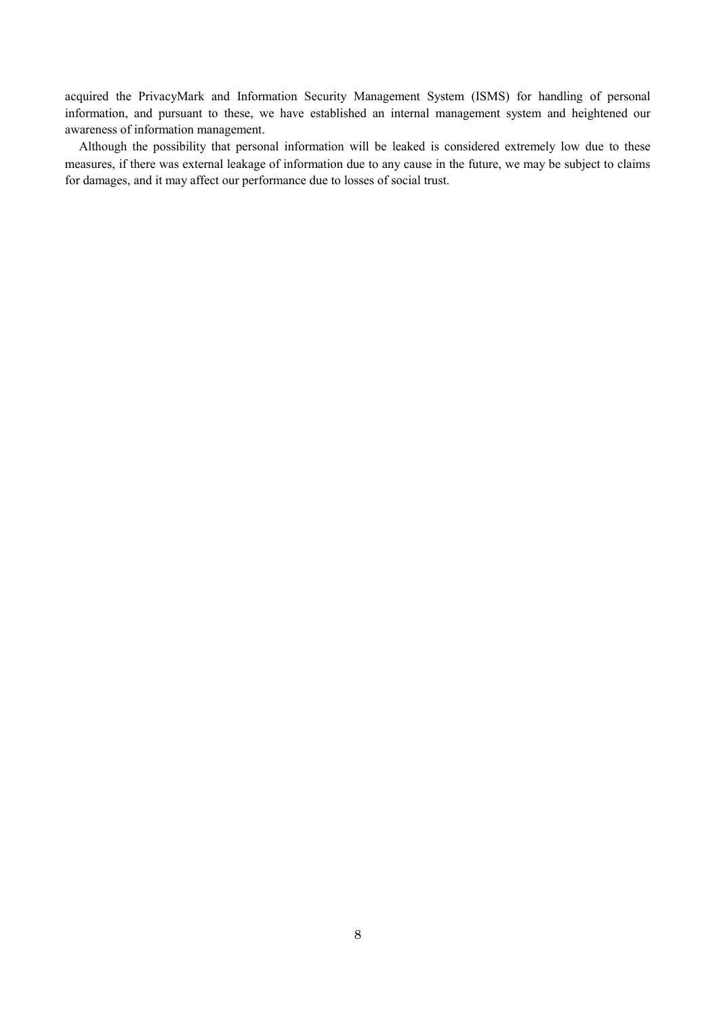acquired the PrivacyMark and Information Security Management System (ISMS) for handling of personal information, and pursuant to these, we have established an internal management system and heightened our awareness of information management.

Although the possibility that personal information will be leaked is considered extremely low due to these measures, if there was external leakage of information due to any cause in the future, we may be subject to claims for damages, and it may affect our performance due to losses of social trust.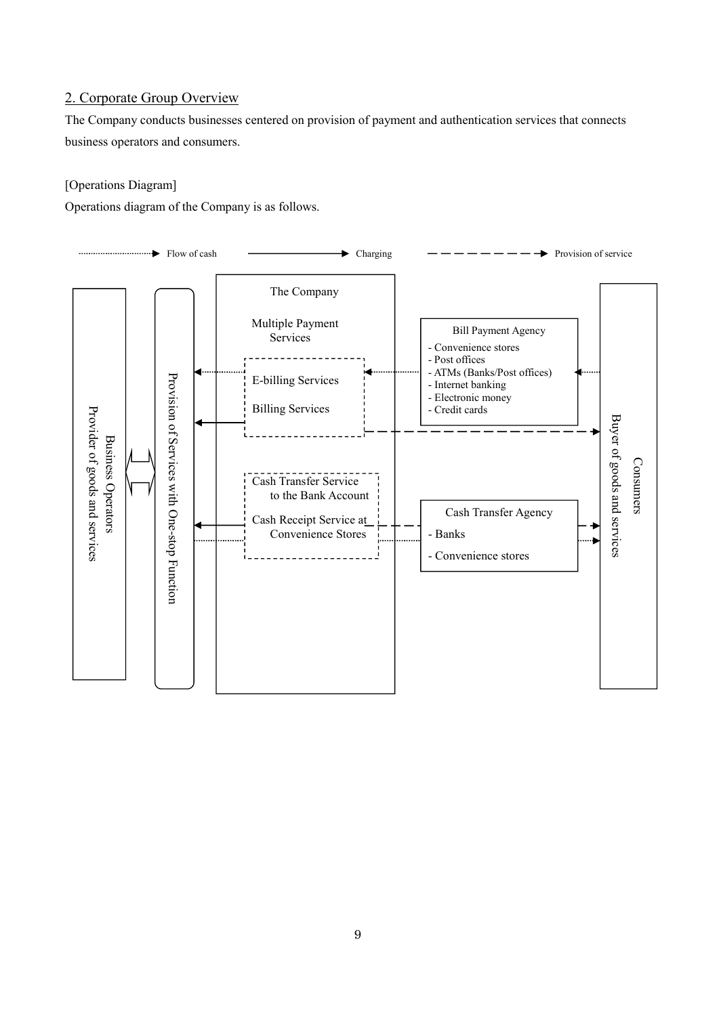## 2. Corporate Group Overview

The Company conducts businesses centered on provision of payment and authentication services that connects business operators and consumers.

## [Operations Diagram]

Operations diagram of the Company is as follows.

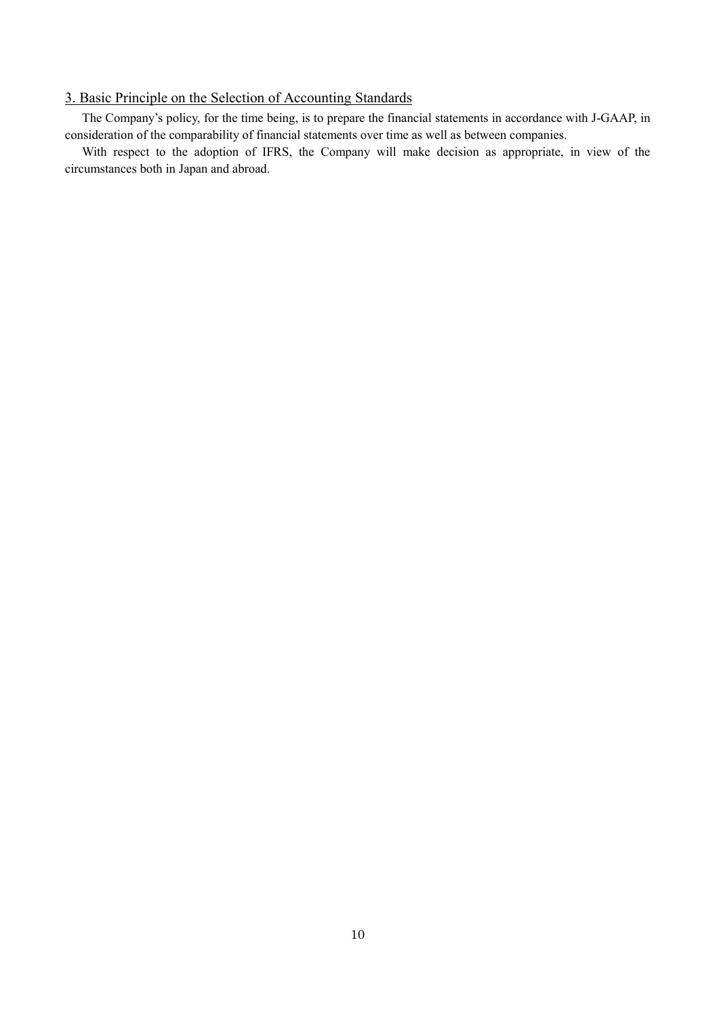## 3. Basic Principle on the Selection of Accounting Standards

The Company's policy, for the time being, is to prepare the financial statements in accordance with J-GAAP, in consideration of the comparability of financial statements over time as well as between companies.

With respect to the adoption of IFRS, the Company will make decision as appropriate, in view of the circumstances both in Japan and abroad.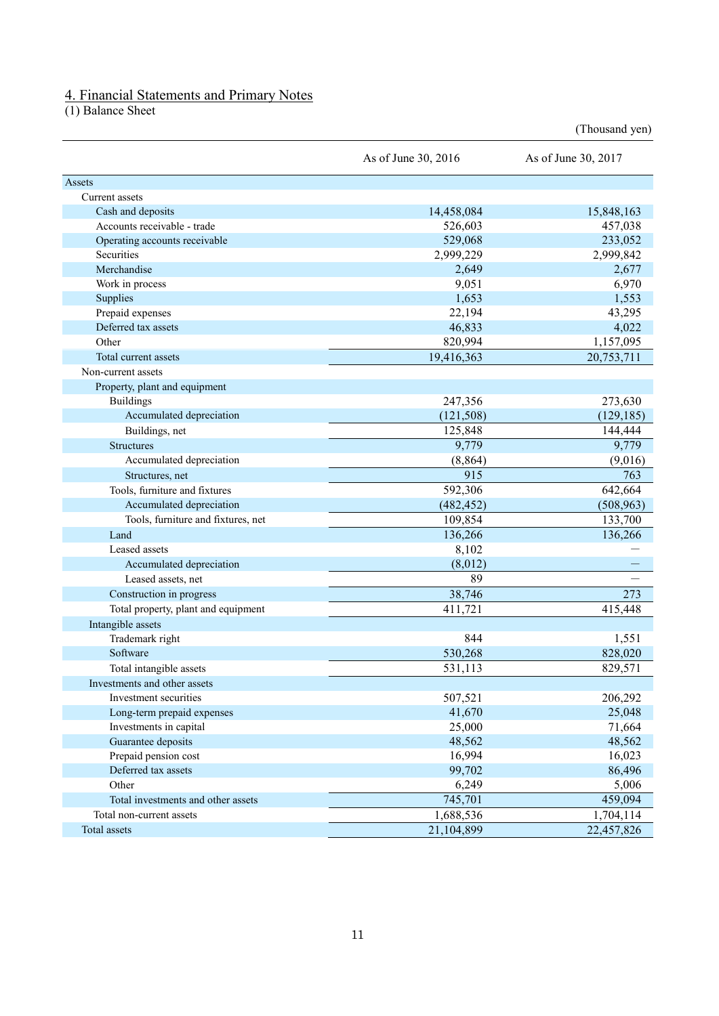## 4. Financial Statements and Primary Notes

(1) Balance Sheet

|                                     | As of June 30, 2016 | As of June 30, 2017 |
|-------------------------------------|---------------------|---------------------|
| Assets                              |                     |                     |
| Current assets                      |                     |                     |
| Cash and deposits                   | 14,458,084          | 15,848,163          |
| Accounts receivable - trade         | 526,603             | 457,038             |
| Operating accounts receivable       | 529,068             | 233,052             |
| Securities                          | 2,999,229           | 2,999,842           |
| Merchandise                         | 2,649               | 2,677               |
| Work in process                     | 9,051               | 6,970               |
| Supplies                            | 1,653               | 1,553               |
| Prepaid expenses                    | 22,194              | 43,295              |
| Deferred tax assets                 | 46,833              | 4,022               |
| Other                               | 820,994             | 1,157,095           |
| Total current assets                | 19,416,363          | 20,753,711          |
| Non-current assets                  |                     |                     |
| Property, plant and equipment       |                     |                     |
| <b>Buildings</b>                    | 247,356             | 273,630             |
| Accumulated depreciation            | (121, 508)          | (129, 185)          |
| Buildings, net                      | 125,848             | 144,444             |
| <b>Structures</b>                   | 9,779               | 9,779               |
| Accumulated depreciation            | (8, 864)            | (9,016)             |
| Structures, net                     | 915                 | 763                 |
| Tools, furniture and fixtures       | 592,306             | 642,664             |
| Accumulated depreciation            | (482, 452)          | (508, 963)          |
| Tools, furniture and fixtures, net  | 109,854             | 133,700             |
| Land                                | 136,266             | 136,266             |
| Leased assets                       | 8,102               |                     |
| Accumulated depreciation            | (8,012)             |                     |
| Leased assets, net                  | 89                  |                     |
| Construction in progress            | 38,746              | 273                 |
| Total property, plant and equipment | 411,721             | 415,448             |
| Intangible assets                   |                     |                     |
| Trademark right                     | 844                 | 1,551               |
| Software                            | 530,268             | 828,020             |
| Total intangible assets             | 531,113             | 829,571             |
| Investments and other assets        |                     |                     |
| Investment securities               | 507,521             | 206,292             |
| Long-term prepaid expenses          | 41,670              | 25,048              |
| Investments in capital              | 25,000              | 71,664              |
| Guarantee deposits                  | 48,562              | 48,562              |
| Prepaid pension cost                | 16,994              | 16,023              |
| Deferred tax assets                 | 99,702              | 86,496              |
| Other                               | 6,249               | 5,006               |
| Total investments and other assets  | 745,701             | 459,094             |
| Total non-current assets            | 1,688,536           | 1,704,114           |
| Total assets                        | 21,104,899          | 22,457,826          |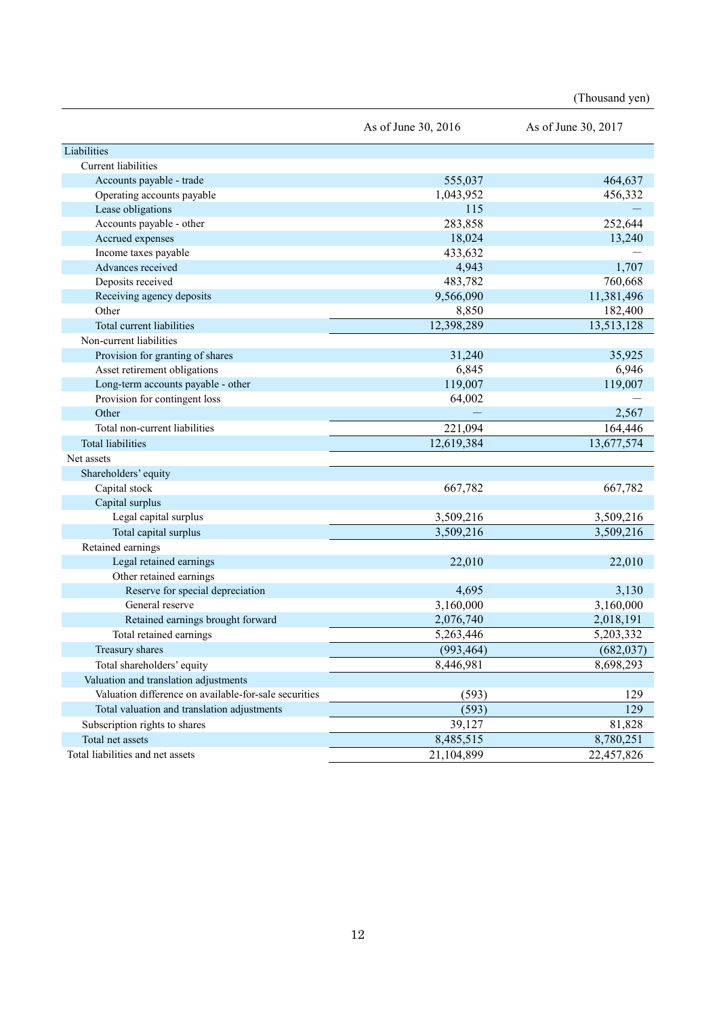|                                                       | As of June 30, 2016 | As of June 30, 2017 |
|-------------------------------------------------------|---------------------|---------------------|
| Liabilities                                           |                     |                     |
| Current liabilities                                   |                     |                     |
| Accounts payable - trade                              | 555,037             | 464,637             |
| Operating accounts payable                            | 1,043,952           | 456,332             |
| Lease obligations                                     | 115                 |                     |
| Accounts payable - other                              | 283,858             | 252,644             |
| Accrued expenses                                      | 18,024              | 13,240              |
| Income taxes payable                                  | 433,632             |                     |
| Advances received                                     | 4,943               | 1,707               |
| Deposits received                                     | 483,782             | 760,668             |
| Receiving agency deposits                             | 9,566,090           | 11,381,496          |
| Other                                                 | 8,850               | 182,400             |
| Total current liabilities                             | 12,398,289          | 13,513,128          |
| Non-current liabilities                               |                     |                     |
| Provision for granting of shares                      | 31,240              | 35,925              |
| Asset retirement obligations                          | 6,845               | 6,946               |
| Long-term accounts payable - other                    | 119,007             | 119,007             |
| Provision for contingent loss                         | 64,002              |                     |
| Other                                                 |                     | 2,567               |
| Total non-current liabilities                         | 221,094             | 164,446             |
| <b>Total liabilities</b>                              | 12,619,384          | 13,677,574          |
| Net assets                                            |                     |                     |
| Shareholders' equity                                  |                     |                     |
| Capital stock                                         | 667,782             | 667,782             |
| Capital surplus                                       |                     |                     |
| Legal capital surplus                                 | 3,509,216           | 3,509,216           |
| Total capital surplus                                 | 3,509,216           | 3,509,216           |
| Retained earnings                                     |                     |                     |
| Legal retained earnings                               | 22,010              | 22,010              |
| Other retained earnings                               |                     |                     |
| Reserve for special depreciation                      | 4,695               | 3,130               |
| General reserve                                       | 3,160,000           | 3,160,000           |
| Retained earnings brought forward                     | 2,076,740           | 2,018,191           |
| Total retained earnings                               | 5,263,446           | 5,203,332           |
| Treasury shares                                       | (993, 464)          | (682, 037)          |
| Total shareholders' equity                            | 8,446,981           | 8,698,293           |
| Valuation and translation adjustments                 |                     |                     |
| Valuation difference on available-for-sale securities | (593)               | 129                 |
| Total valuation and translation adjustments           | (593)               | 129                 |
| Subscription rights to shares                         | 39,127              | 81,828              |
| Total net assets                                      | 8,485,515           | 8,780,251           |
| Total liabilities and net assets                      | 21,104,899          | 22,457,826          |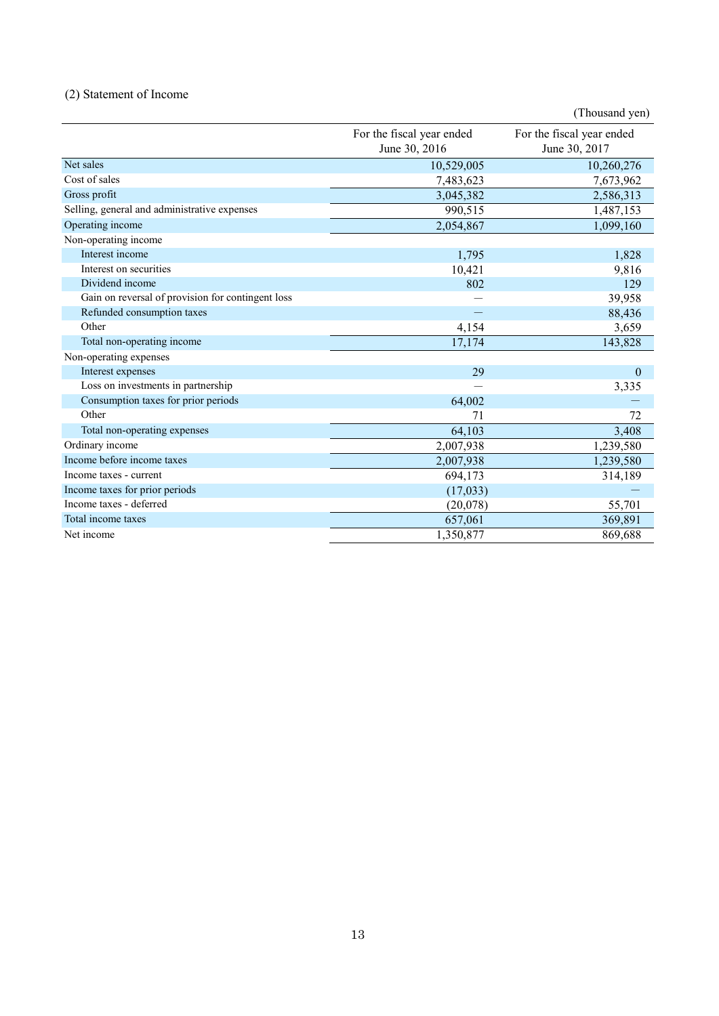## (2) Statement of Income

|                                                   |                                            | (Thousand yen)                             |
|---------------------------------------------------|--------------------------------------------|--------------------------------------------|
|                                                   | For the fiscal year ended<br>June 30, 2016 | For the fiscal year ended<br>June 30, 2017 |
| Net sales                                         | 10,529,005                                 | 10,260,276                                 |
| Cost of sales                                     | 7,483,623                                  | 7,673,962                                  |
| Gross profit                                      | 3,045,382                                  | 2,586,313                                  |
| Selling, general and administrative expenses      | 990,515                                    | 1,487,153                                  |
| Operating income                                  | 2,054,867                                  | 1,099,160                                  |
| Non-operating income                              |                                            |                                            |
| Interest income                                   | 1,795                                      | 1,828                                      |
| Interest on securities                            | 10,421                                     | 9,816                                      |
| Dividend income                                   | 802                                        | 129                                        |
| Gain on reversal of provision for contingent loss |                                            | 39,958                                     |
| Refunded consumption taxes                        |                                            | 88,436                                     |
| Other                                             | 4,154                                      | 3,659                                      |
| Total non-operating income                        | 17,174                                     | 143,828                                    |
| Non-operating expenses                            |                                            |                                            |
| Interest expenses                                 | 29                                         | $\mathbf{0}$                               |
| Loss on investments in partnership                |                                            | 3,335                                      |
| Consumption taxes for prior periods               | 64,002                                     |                                            |
| Other                                             | 71                                         | 72                                         |
| Total non-operating expenses                      | 64,103                                     | 3,408                                      |
| Ordinary income                                   | 2,007,938                                  | 1,239,580                                  |
| Income before income taxes                        | 2,007,938                                  | 1,239,580                                  |
| Income taxes - current                            | 694,173                                    | 314,189                                    |
| Income taxes for prior periods                    | (17,033)                                   |                                            |
| Income taxes - deferred                           | (20,078)                                   | 55,701                                     |
| Total income taxes                                | 657,061                                    | 369,891                                    |
| Net income                                        | 1,350,877                                  | 869,688                                    |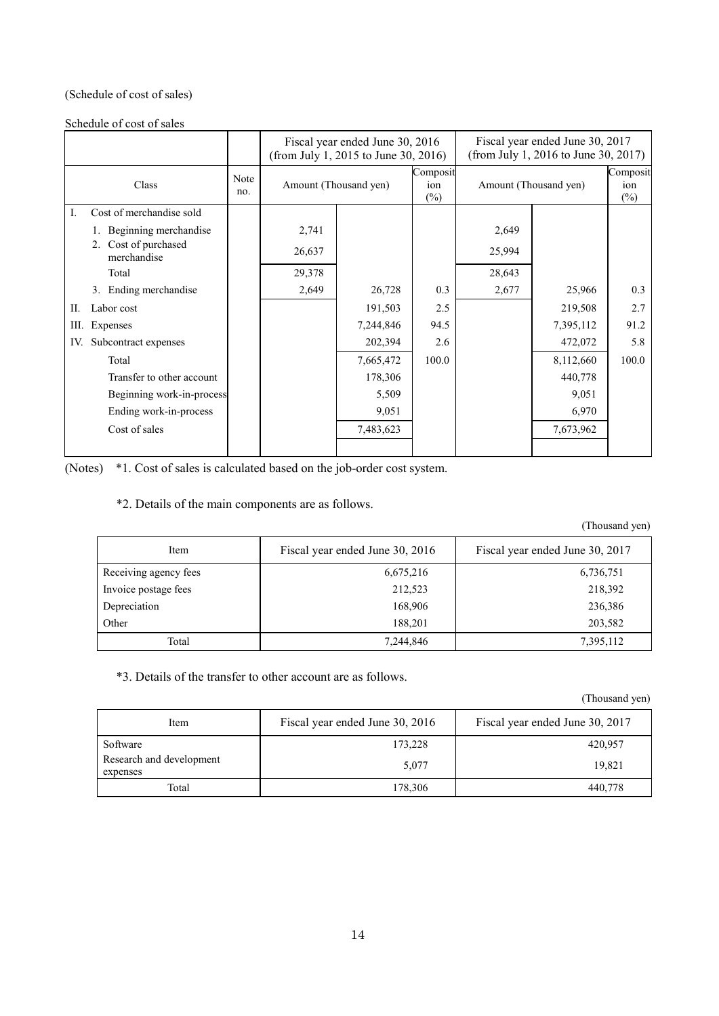## (Schedule of cost of sales)

Schedule of cost of sales

|                                        |             | Fiscal year ended June 30, 2016<br>(from July 1, 2015 to June 30, 2016) |           |                           | Fiscal year ended June 30, 2017<br>(from July 1, 2016 to June 30, 2017) |           |                           |
|----------------------------------------|-------------|-------------------------------------------------------------------------|-----------|---------------------------|-------------------------------------------------------------------------|-----------|---------------------------|
| Class                                  | Note<br>no. | Amount (Thousand yen)                                                   |           | Composit<br>ion<br>$(\%)$ | Amount (Thousand yen)                                                   |           | Composit<br>ion<br>$(\%)$ |
| Cost of merchandise sold<br>Ι.         |             |                                                                         |           |                           |                                                                         |           |                           |
| Beginning merchandise                  |             | 2,741                                                                   |           |                           | 2,649                                                                   |           |                           |
| Cost of purchased<br>2.<br>merchandise |             | 26,637                                                                  |           |                           | 25,994                                                                  |           |                           |
| Total                                  |             | 29,378                                                                  |           |                           | 28,643                                                                  |           |                           |
| 3. Ending merchandise                  |             | 2,649                                                                   | 26,728    | 0.3                       | 2,677                                                                   | 25,966    | 0.3                       |
| Labor cost<br>П.                       |             |                                                                         | 191,503   | 2.5                       |                                                                         | 219,508   | 2.7                       |
| Ш.<br>Expenses                         |             |                                                                         | 7,244,846 | 94.5                      |                                                                         | 7,395,112 | 91.2                      |
| Subcontract expenses<br>IV.            |             |                                                                         | 202,394   | 2.6                       |                                                                         | 472,072   | 5.8                       |
| Total                                  |             |                                                                         | 7,665,472 | 100.0                     |                                                                         | 8,112,660 | 100.0                     |
| Transfer to other account              |             |                                                                         | 178,306   |                           |                                                                         | 440,778   |                           |
| Beginning work-in-process              |             |                                                                         | 5,509     |                           |                                                                         | 9,051     |                           |
| Ending work-in-process                 |             |                                                                         | 9,051     |                           |                                                                         | 6,970     |                           |
| Cost of sales                          |             |                                                                         | 7,483,623 |                           |                                                                         | 7,673,962 |                           |
|                                        |             |                                                                         |           |                           |                                                                         |           |                           |

(Notes) \*1. Cost of sales is calculated based on the job-order cost system.

\*2. Details of the main components are as follows.

(Thousand yen)

| Item                  | Fiscal year ended June 30, 2016 | Fiscal year ended June 30, 2017 |
|-----------------------|---------------------------------|---------------------------------|
| Receiving agency fees | 6,675,216                       | 6,736,751                       |
| Invoice postage fees  | 212,523                         | 218,392                         |
| Depreciation          | 168,906                         | 236,386                         |
| Other                 | 188,201                         | 203,582                         |
| Total                 | 7,244,846                       | 7,395,112                       |

\*3. Details of the transfer to other account are as follows.

| Item                                 | Fiscal year ended June 30, 2016 | Fiscal year ended June 30, 2017 |
|--------------------------------------|---------------------------------|---------------------------------|
| Software                             | 173,228                         | 420,957                         |
| Research and development<br>expenses | 5.077                           | 19.821                          |
| Total                                | 178,306                         | 440,778                         |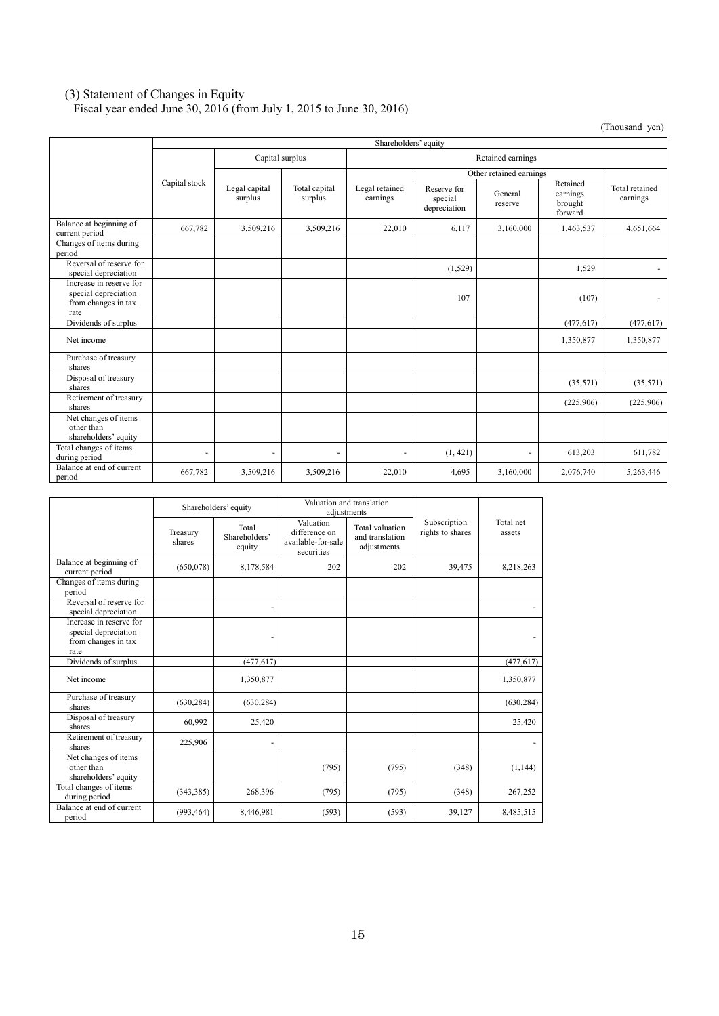#### (3) Statement of Changes in Equity

Fiscal year ended June 30, 2016 (from July 1, 2015 to June 30, 2016)

|                                                                                | Shareholders' equity     |                          |                          |                            |                                        |                         |                                            |                            |  |
|--------------------------------------------------------------------------------|--------------------------|--------------------------|--------------------------|----------------------------|----------------------------------------|-------------------------|--------------------------------------------|----------------------------|--|
|                                                                                |                          | Capital surplus          |                          | Retained earnings          |                                        |                         |                                            |                            |  |
|                                                                                |                          |                          |                          |                            |                                        | Other retained earnings |                                            |                            |  |
|                                                                                | Capital stock            | Legal capital<br>surplus | Total capital<br>surplus | Legal retained<br>earnings | Reserve for<br>special<br>depreciation | General<br>reserve      | Retained<br>earnings<br>brought<br>forward | Total retained<br>earnings |  |
| Balance at beginning of<br>current period                                      | 667,782                  | 3,509,216                | 3,509,216                | 22,010                     | 6,117                                  | 3,160,000               | 1,463,537                                  | 4,651,664                  |  |
| Changes of items during<br>period                                              |                          |                          |                          |                            |                                        |                         |                                            |                            |  |
| Reversal of reserve for<br>special depreciation                                |                          |                          |                          |                            | (1,529)                                |                         | 1,529                                      | $\overline{\phantom{0}}$   |  |
| Increase in reserve for<br>special depreciation<br>from changes in tax<br>rate |                          |                          |                          |                            | 107                                    |                         | (107)                                      | $\overline{\phantom{0}}$   |  |
| Dividends of surplus                                                           |                          |                          |                          |                            |                                        |                         | (477, 617)                                 | (477, 617)                 |  |
| Net income                                                                     |                          |                          |                          |                            |                                        |                         | 1,350,877                                  | 1,350,877                  |  |
| Purchase of treasury<br>shares                                                 |                          |                          |                          |                            |                                        |                         |                                            |                            |  |
| Disposal of treasury<br>shares                                                 |                          |                          |                          |                            |                                        |                         | (35,571)                                   | (35,571)                   |  |
| Retirement of treasury<br>shares                                               |                          |                          |                          |                            |                                        |                         | (225,906)                                  | (225,906)                  |  |
| Net changes of items<br>other than<br>shareholders' equity                     |                          |                          |                          |                            |                                        |                         |                                            |                            |  |
| Total changes of items<br>during period                                        | $\overline{\phantom{a}}$ | ٠                        |                          |                            | (1, 421)                               | ٠                       | 613,203                                    | 611,782                    |  |
| Balance at end of current<br>period                                            | 667,782                  | 3,509,216                | 3,509,216                | 22,010                     | 4,695                                  | 3,160,000               | 2,076,740                                  | 5,263,446                  |  |

|                                                                                | Shareholders' equity |                                  | Valuation and translation<br>adiustments                       |                                                   |                                  |                     |
|--------------------------------------------------------------------------------|----------------------|----------------------------------|----------------------------------------------------------------|---------------------------------------------------|----------------------------------|---------------------|
|                                                                                | Treasury<br>shares   | Total<br>Shareholders'<br>equity | Valuation<br>difference on<br>available-for-sale<br>securities | Total valuation<br>and translation<br>adjustments | Subscription<br>rights to shares | Total net<br>assets |
| Balance at beginning of<br>current period                                      | (650,078)            | 8,178,584                        | 202                                                            | 202                                               | 39,475                           | 8,218,263           |
| Changes of items during<br>period                                              |                      |                                  |                                                                |                                                   |                                  |                     |
| Reversal of reserve for<br>special depreciation                                |                      |                                  |                                                                |                                                   |                                  |                     |
| Increase in reserve for<br>special depreciation<br>from changes in tax<br>rate |                      | ٠                                |                                                                |                                                   |                                  |                     |
| Dividends of surplus                                                           |                      | (477, 617)                       |                                                                |                                                   |                                  | (477, 617)          |
| Net income                                                                     |                      | 1,350,877                        |                                                                |                                                   |                                  | 1,350,877           |
| Purchase of treasury<br>shares                                                 | (630, 284)           | (630, 284)                       |                                                                |                                                   |                                  | (630, 284)          |
| Disposal of treasury<br>shares                                                 | 60,992               | 25,420                           |                                                                |                                                   |                                  | 25,420              |
| Retirement of treasury<br>shares                                               | 225,906              |                                  |                                                                |                                                   |                                  |                     |
| Net changes of items<br>other than<br>shareholders' equity                     |                      |                                  | (795)                                                          | (795)                                             | (348)                            | (1, 144)            |
| Total changes of items<br>during period                                        | (343, 385)           | 268,396                          | (795)                                                          | (795)                                             | (348)                            | 267,252             |
| Balance at end of current<br>period                                            | (993, 464)           | 8,446,981                        | (593)                                                          | (593)                                             | 39,127                           | 8,485,515           |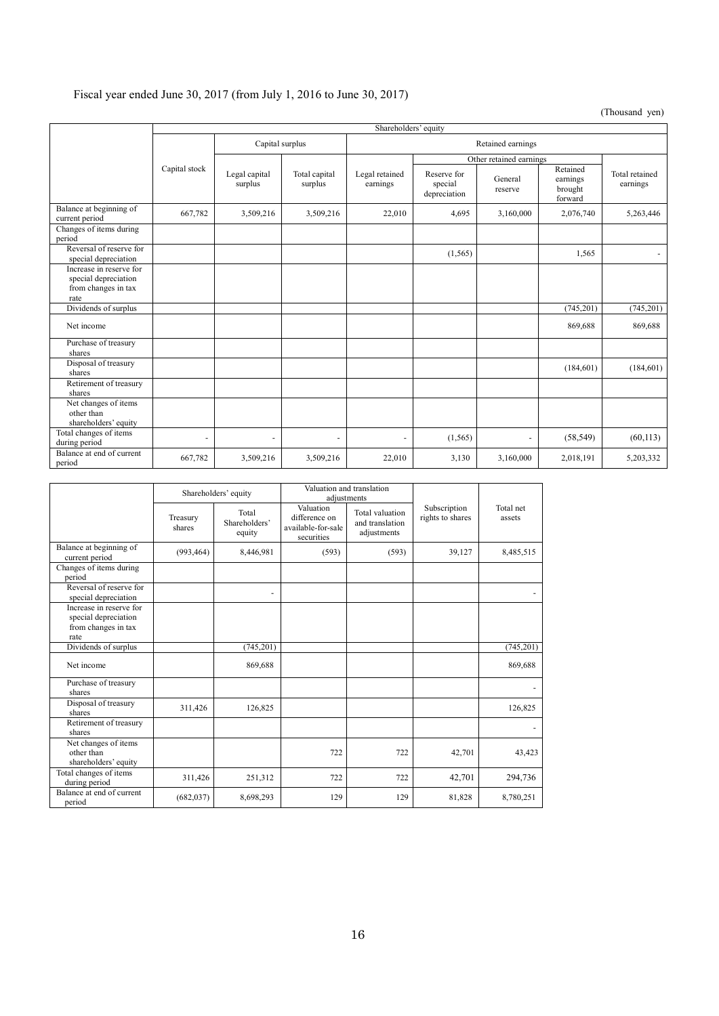## Fiscal year ended June 30, 2017 (from July 1, 2016 to June 30, 2017)

|                                                                                | Shareholders' equity |                          |                          |                            |                                        |                         |                                            |                            |  |
|--------------------------------------------------------------------------------|----------------------|--------------------------|--------------------------|----------------------------|----------------------------------------|-------------------------|--------------------------------------------|----------------------------|--|
|                                                                                | Capital surplus      |                          |                          | Retained earnings          |                                        |                         |                                            |                            |  |
|                                                                                |                      |                          |                          |                            |                                        | Other retained earnings |                                            |                            |  |
|                                                                                | Capital stock        | Legal capital<br>surplus | Total capital<br>surplus | Legal retained<br>earnings | Reserve for<br>special<br>depreciation | General<br>reserve      | Retained<br>earnings<br>brought<br>forward | Total retained<br>earnings |  |
| Balance at beginning of<br>current period                                      | 667,782              | 3,509,216                | 3,509,216                | 22,010                     | 4,695                                  | 3,160,000               | 2,076,740                                  | 5,263,446                  |  |
| Changes of items during<br>period                                              |                      |                          |                          |                            |                                        |                         |                                            |                            |  |
| Reversal of reserve for<br>special depreciation                                |                      |                          |                          |                            | (1, 565)                               |                         | 1,565                                      |                            |  |
| Increase in reserve for<br>special depreciation<br>from changes in tax<br>rate |                      |                          |                          |                            |                                        |                         |                                            |                            |  |
| Dividends of surplus                                                           |                      |                          |                          |                            |                                        |                         | (745, 201)                                 | (745, 201)                 |  |
| Net income                                                                     |                      |                          |                          |                            |                                        |                         | 869,688                                    | 869,688                    |  |
| Purchase of treasury<br>shares                                                 |                      |                          |                          |                            |                                        |                         |                                            |                            |  |
| Disposal of treasury<br>shares                                                 |                      |                          |                          |                            |                                        |                         | (184, 601)                                 | (184, 601)                 |  |
| Retirement of treasury<br>shares                                               |                      |                          |                          |                            |                                        |                         |                                            |                            |  |
| Net changes of items<br>other than<br>shareholders' equity                     |                      |                          |                          |                            |                                        |                         |                                            |                            |  |
| Total changes of items<br>during period                                        | ٠                    | ٠                        | ٠                        | ٠                          | (1, 565)                               | ٠                       | (58, 549)                                  | (60, 113)                  |  |
| Balance at end of current<br>period                                            | 667,782              | 3,509,216                | 3,509,216                | 22,010                     | 3,130                                  | 3,160,000               | 2,018,191                                  | 5,203,332                  |  |

|                                                                                | Shareholders' equity |                                  |                                                                | Valuation and translation<br>adjustments          |                                  |                     |
|--------------------------------------------------------------------------------|----------------------|----------------------------------|----------------------------------------------------------------|---------------------------------------------------|----------------------------------|---------------------|
|                                                                                | Treasury<br>shares   | Total<br>Shareholders'<br>equity | Valuation<br>difference on<br>available-for-sale<br>securities | Total valuation<br>and translation<br>adjustments | Subscription<br>rights to shares | Total net<br>assets |
| Balance at beginning of<br>current period                                      | (993, 464)           | 8,446,981                        | (593)                                                          | (593)                                             | 39,127                           | 8,485,515           |
| Changes of items during<br>period                                              |                      |                                  |                                                                |                                                   |                                  |                     |
| Reversal of reserve for<br>special depreciation                                |                      |                                  |                                                                |                                                   |                                  |                     |
| Increase in reserve for<br>special depreciation<br>from changes in tax<br>rate |                      |                                  |                                                                |                                                   |                                  |                     |
| Dividends of surplus                                                           |                      | (745, 201)                       |                                                                |                                                   |                                  | (745, 201)          |
| Net income                                                                     |                      | 869,688                          |                                                                |                                                   |                                  | 869,688             |
| Purchase of treasury<br>shares                                                 |                      |                                  |                                                                |                                                   |                                  |                     |
| Disposal of treasury<br>shares                                                 | 311,426              | 126,825                          |                                                                |                                                   |                                  | 126,825             |
| Retirement of treasury<br>shares                                               |                      |                                  |                                                                |                                                   |                                  |                     |
| Net changes of items<br>other than<br>shareholders' equity                     |                      |                                  | 722                                                            | 722                                               | 42,701                           | 43,423              |
| Total changes of items<br>during period                                        | 311,426              | 251,312                          | 722                                                            | 722                                               | 42,701                           | 294,736             |
| Balance at end of current<br>period                                            | (682, 037)           | 8,698,293                        | 129                                                            | 129                                               | 81,828                           | 8,780,251           |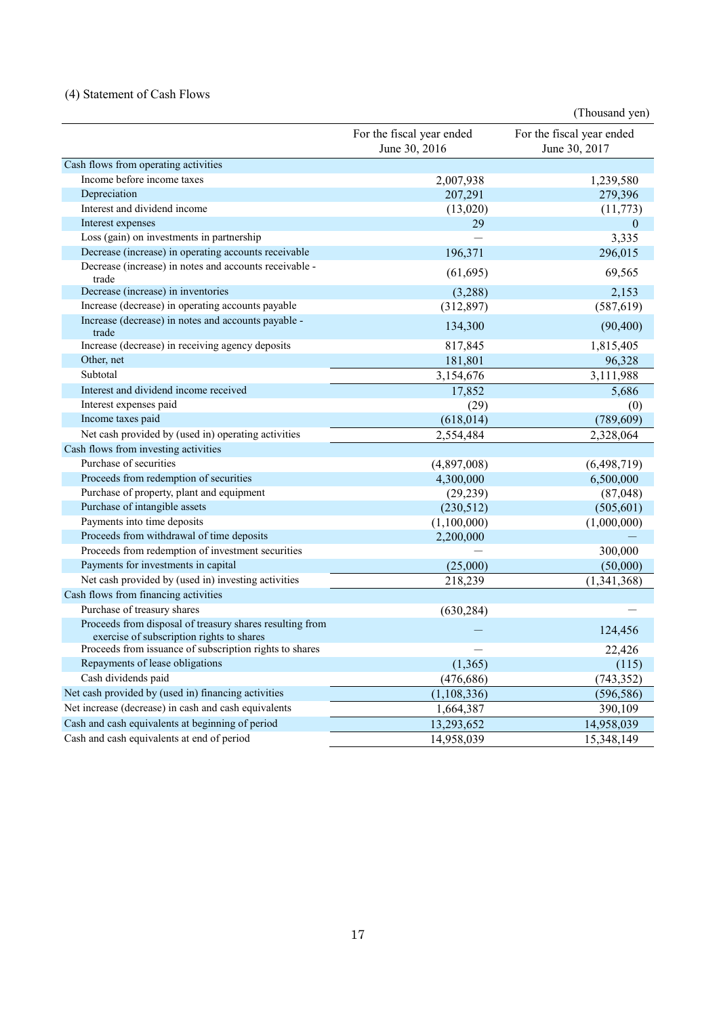## (4) Statement of Cash Flows

|                                                                                                       |                                            | (Thousand yen)                             |
|-------------------------------------------------------------------------------------------------------|--------------------------------------------|--------------------------------------------|
|                                                                                                       | For the fiscal year ended<br>June 30, 2016 | For the fiscal year ended<br>June 30, 2017 |
| Cash flows from operating activities                                                                  |                                            |                                            |
| Income before income taxes                                                                            | 2,007,938                                  | 1,239,580                                  |
| Depreciation                                                                                          | 207,291                                    | 279,396                                    |
| Interest and dividend income                                                                          | (13,020)                                   | (11, 773)                                  |
| Interest expenses                                                                                     | 29                                         | $\theta$                                   |
| Loss (gain) on investments in partnership                                                             |                                            | 3,335                                      |
| Decrease (increase) in operating accounts receivable                                                  | 196,371                                    | 296,015                                    |
| Decrease (increase) in notes and accounts receivable -<br>trade                                       | (61, 695)                                  | 69,565                                     |
| Decrease (increase) in inventories                                                                    | (3,288)                                    | 2,153                                      |
| Increase (decrease) in operating accounts payable                                                     | (312, 897)                                 | (587, 619)                                 |
| Increase (decrease) in notes and accounts payable -<br>trade                                          | 134,300                                    | (90, 400)                                  |
| Increase (decrease) in receiving agency deposits                                                      | 817,845                                    | 1,815,405                                  |
| Other, net                                                                                            | 181,801                                    | 96,328                                     |
| Subtotal                                                                                              | 3,154,676                                  | 3,111,988                                  |
| Interest and dividend income received                                                                 | 17,852                                     | 5,686                                      |
| Interest expenses paid                                                                                | (29)                                       | (0)                                        |
| Income taxes paid                                                                                     | (618, 014)                                 | (789, 609)                                 |
| Net cash provided by (used in) operating activities                                                   | 2,554,484                                  | 2,328,064                                  |
| Cash flows from investing activities                                                                  |                                            |                                            |
| Purchase of securities                                                                                | (4,897,008)                                | (6, 498, 719)                              |
| Proceeds from redemption of securities                                                                | 4,300,000                                  | 6,500,000                                  |
| Purchase of property, plant and equipment                                                             | (29, 239)                                  | (87,048)                                   |
| Purchase of intangible assets                                                                         | (230,512)                                  | (505, 601)                                 |
| Payments into time deposits                                                                           | (1,100,000)                                | (1,000,000)                                |
| Proceeds from withdrawal of time deposits                                                             | 2,200,000                                  |                                            |
| Proceeds from redemption of investment securities                                                     |                                            | 300,000                                    |
| Payments for investments in capital                                                                   | (25,000)                                   | (50,000)                                   |
| Net cash provided by (used in) investing activities                                                   | 218,239                                    | (1,341,368)                                |
| Cash flows from financing activities                                                                  |                                            |                                            |
| Purchase of treasury shares                                                                           | (630, 284)                                 |                                            |
| Proceeds from disposal of treasury shares resulting from<br>exercise of subscription rights to shares |                                            | 124,456                                    |
| Proceeds from issuance of subscription rights to shares                                               |                                            | 22,426                                     |
| Repayments of lease obligations                                                                       | (1,365)                                    | (115)                                      |
| Cash dividends paid                                                                                   | (476, 686)                                 | (743, 352)                                 |
| Net cash provided by (used in) financing activities                                                   | (1, 108, 336)                              | (596, 586)                                 |
| Net increase (decrease) in cash and cash equivalents                                                  | 1,664,387                                  | 390,109                                    |
| Cash and cash equivalents at beginning of period                                                      | 13,293,652                                 | 14,958,039                                 |
| Cash and cash equivalents at end of period                                                            | 14,958,039                                 | 15,348,149                                 |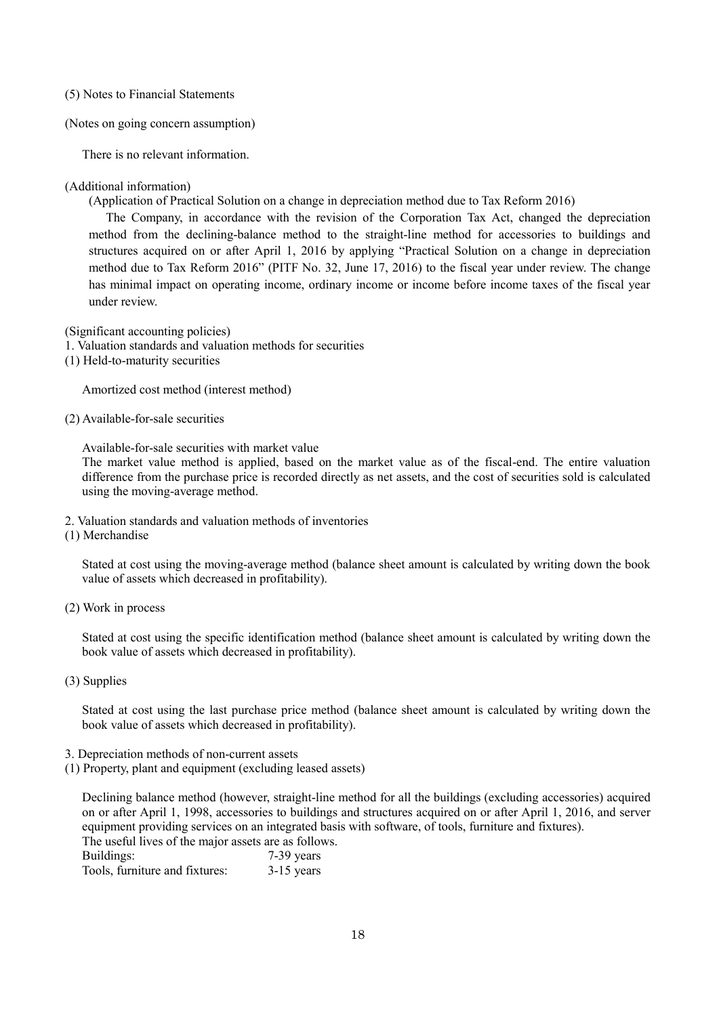- (5) Notes to Financial Statements
- (Notes on going concern assumption)

There is no relevant information.

#### (Additional information)

(Application of Practical Solution on a change in depreciation method due to Tax Reform 2016)

The Company, in accordance with the revision of the Corporation Tax Act, changed the depreciation method from the declining-balance method to the straight-line method for accessories to buildings and structures acquired on or after April 1, 2016 by applying "Practical Solution on a change in depreciation method due to Tax Reform 2016" (PITF No. 32, June 17, 2016) to the fiscal year under review. The change has minimal impact on operating income, ordinary income or income before income taxes of the fiscal year under review.

(Significant accounting policies)

- 1. Valuation standards and valuation methods for securities
- (1) Held-to-maturity securities

Amortized cost method (interest method)

(2) Available-for-sale securities

Available-for-sale securities with market value

The market value method is applied, based on the market value as of the fiscal-end. The entire valuation difference from the purchase price is recorded directly as net assets, and the cost of securities sold is calculated using the moving-average method.

- 2. Valuation standards and valuation methods of inventories
- (1) Merchandise

Stated at cost using the moving-average method (balance sheet amount is calculated by writing down the book value of assets which decreased in profitability).

(2) Work in process

Stated at cost using the specific identification method (balance sheet amount is calculated by writing down the book value of assets which decreased in profitability).

(3) Supplies

Stated at cost using the last purchase price method (balance sheet amount is calculated by writing down the book value of assets which decreased in profitability).

- 3. Depreciation methods of non-current assets
- (1) Property, plant and equipment (excluding leased assets)

Declining balance method (however, straight-line method for all the buildings (excluding accessories) acquired on or after April 1, 1998, accessories to buildings and structures acquired on or after April 1, 2016, and server equipment providing services on an integrated basis with software, of tools, furniture and fixtures). The useful lives of the major assets are as follows.

Buildings: 7-39 years

Tools, furniture and fixtures: 3-15 years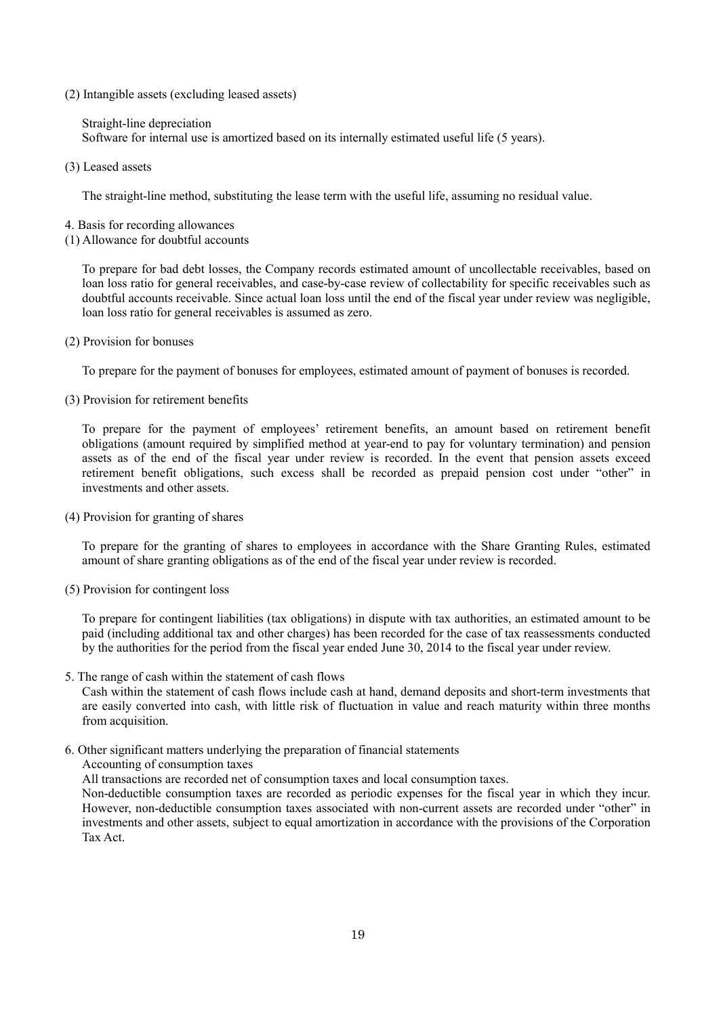(2) Intangible assets (excluding leased assets)

Straight-line depreciation Software for internal use is amortized based on its internally estimated useful life (5 years).

(3) Leased assets

The straight-line method, substituting the lease term with the useful life, assuming no residual value.

- 4. Basis for recording allowances
- (1) Allowance for doubtful accounts

To prepare for bad debt losses, the Company records estimated amount of uncollectable receivables, based on loan loss ratio for general receivables, and case-by-case review of collectability for specific receivables such as doubtful accounts receivable. Since actual loan loss until the end of the fiscal year under review was negligible, loan loss ratio for general receivables is assumed as zero.

(2) Provision for bonuses

To prepare for the payment of bonuses for employees, estimated amount of payment of bonuses is recorded.

(3) Provision for retirement benefits

To prepare for the payment of employees' retirement benefits, an amount based on retirement benefit obligations (amount required by simplified method at year-end to pay for voluntary termination) and pension assets as of the end of the fiscal year under review is recorded. In the event that pension assets exceed retirement benefit obligations, such excess shall be recorded as prepaid pension cost under "other" in investments and other assets.

(4) Provision for granting of shares

To prepare for the granting of shares to employees in accordance with the Share Granting Rules, estimated amount of share granting obligations as of the end of the fiscal year under review is recorded.

(5) Provision for contingent loss

To prepare for contingent liabilities (tax obligations) in dispute with tax authorities, an estimated amount to be paid (including additional tax and other charges) has been recorded for the case of tax reassessments conducted by the authorities for the period from the fiscal year ended June 30, 2014 to the fiscal year under review.

5. The range of cash within the statement of cash flows

Cash within the statement of cash flows include cash at hand, demand deposits and short-term investments that are easily converted into cash, with little risk of fluctuation in value and reach maturity within three months from acquisition.

6. Other significant matters underlying the preparation of financial statements

Accounting of consumption taxes

All transactions are recorded net of consumption taxes and local consumption taxes.

Non-deductible consumption taxes are recorded as periodic expenses for the fiscal year in which they incur. However, non-deductible consumption taxes associated with non-current assets are recorded under "other" in investments and other assets, subject to equal amortization in accordance with the provisions of the Corporation Tax Act.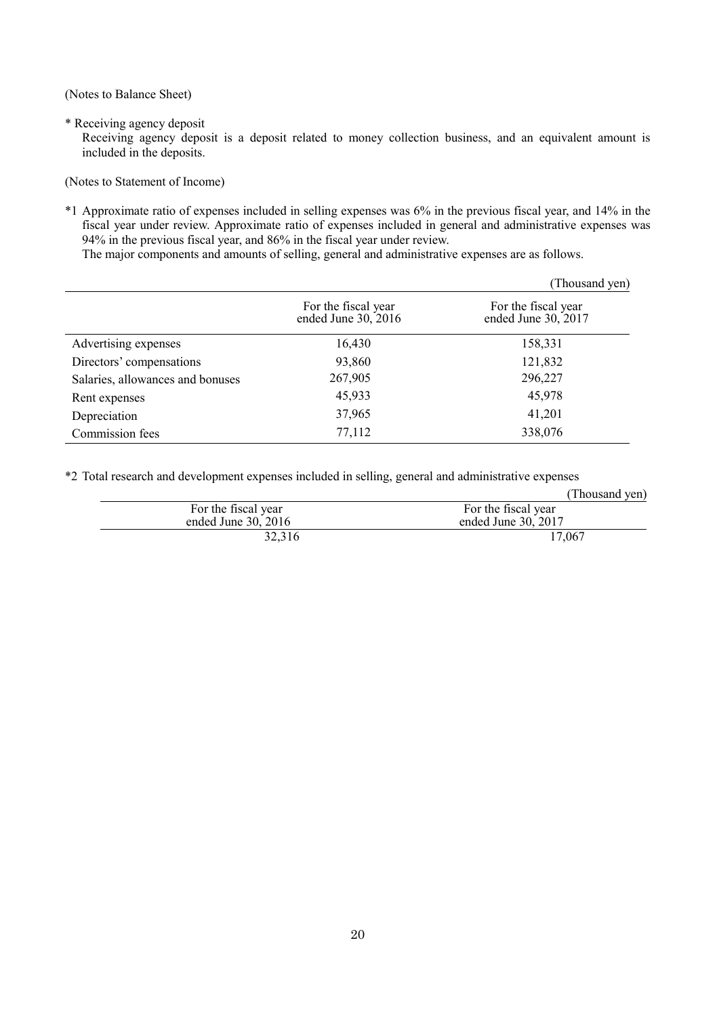(Notes to Balance Sheet)

\* Receiving agency deposit

Receiving agency deposit is a deposit related to money collection business, and an equivalent amount is included in the deposits.

(Notes to Statement of Income)

\*1 Approximate ratio of expenses included in selling expenses was 6% in the previous fiscal year, and 14% in the fiscal year under review. Approximate ratio of expenses included in general and administrative expenses was 94% in the previous fiscal year, and 86% in the fiscal year under review.

The major components and amounts of selling, general and administrative expenses are as follows.

|                                  |                                            | (Thousand yen)                             |
|----------------------------------|--------------------------------------------|--------------------------------------------|
|                                  | For the fiscal year<br>ended June 30, 2016 | For the fiscal year<br>ended June 30, 2017 |
| Advertising expenses             | 16,430                                     | 158,331                                    |
| Directors' compensations         | 93,860                                     | 121,832                                    |
| Salaries, allowances and bonuses | 267,905                                    | 296,227                                    |
| Rent expenses                    | 45,933                                     | 45,978                                     |
| Depreciation                     | 37,965                                     | 41,201                                     |
| Commission fees                  | 77,112                                     | 338,076                                    |

\*2 Total research and development expenses included in selling, general and administrative expenses

|                       | (Thousand yen)      |
|-----------------------|---------------------|
| For the fiscal year   | For the fiscal year |
| ended June $30, 2016$ | ended June 30, 2017 |
| 32,316                | 17,067              |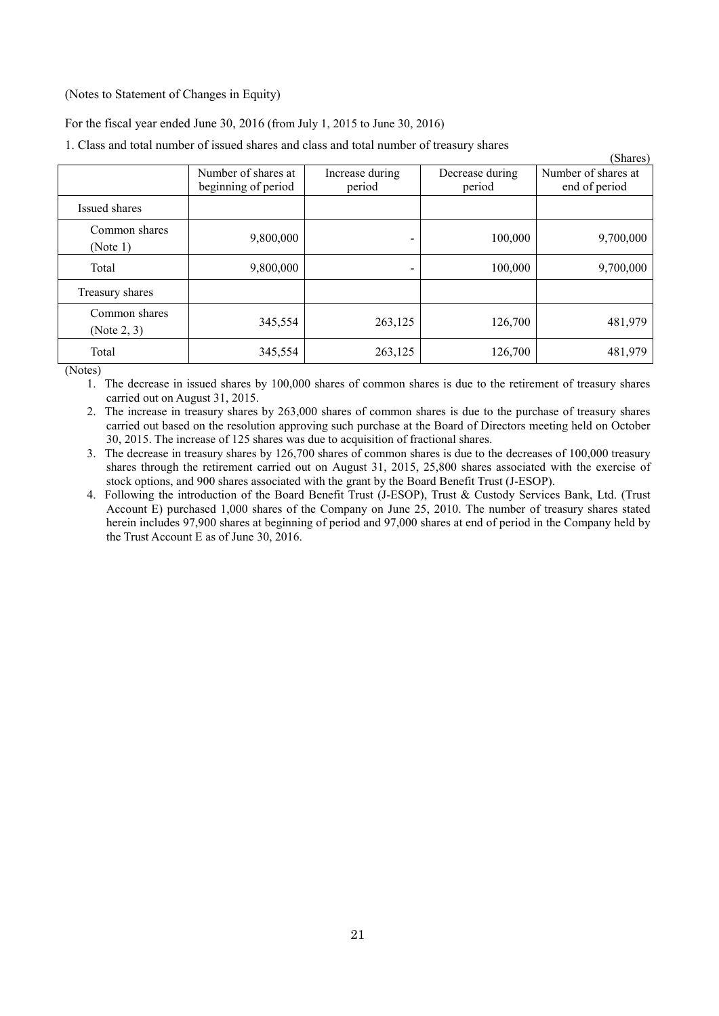### (Notes to Statement of Changes in Equity)

For the fiscal year ended June 30, 2016 (from July 1, 2015 to June 30, 2016)

1. Class and total number of issued shares and class and total number of treasury shares

|                              |                                            |                           |                           | D (a)                                |
|------------------------------|--------------------------------------------|---------------------------|---------------------------|--------------------------------------|
|                              | Number of shares at<br>beginning of period | Increase during<br>period | Decrease during<br>period | Number of shares at<br>end of period |
| Issued shares                |                                            |                           |                           |                                      |
| Common shares<br>(Note 1)    | 9,800,000                                  |                           | 100,000                   | 9,700,000                            |
| Total                        | 9,800,000                                  |                           | 100,000                   | 9,700,000                            |
| Treasury shares              |                                            |                           |                           |                                      |
| Common shares<br>(Note 2, 3) | 345,554                                    | 263,125                   | 126,700                   | 481,979                              |
| Total                        | 345,554                                    | 263,125                   | 126,700                   | 481,979                              |

 $(51)$ 

(Notes)

1. The decrease in issued shares by 100,000 shares of common shares is due to the retirement of treasury shares carried out on August 31, 2015.

2. The increase in treasury shares by 263,000 shares of common shares is due to the purchase of treasury shares carried out based on the resolution approving such purchase at the Board of Directors meeting held on October 30, 2015. The increase of 125 shares was due to acquisition of fractional shares.

3. The decrease in treasury shares by 126,700 shares of common shares is due to the decreases of 100,000 treasury shares through the retirement carried out on August 31, 2015, 25,800 shares associated with the exercise of stock options, and 900 shares associated with the grant by the Board Benefit Trust (J-ESOP).

4. Following the introduction of the Board Benefit Trust (J-ESOP), Trust & Custody Services Bank, Ltd. (Trust Account E) purchased 1,000 shares of the Company on June 25, 2010. The number of treasury shares stated herein includes 97,900 shares at beginning of period and 97,000 shares at end of period in the Company held by the Trust Account E as of June 30, 2016.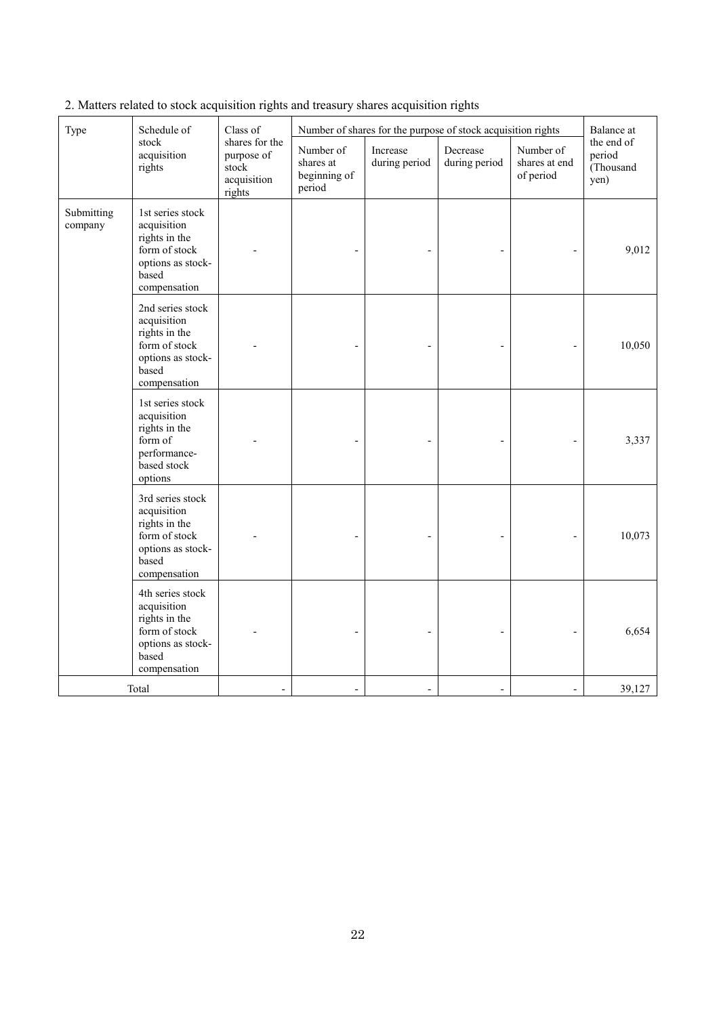| Type                  | Schedule of<br>stock<br>acquisition<br>rights                                                                   | Class of<br>shares for the<br>purpose of<br>stock<br>acquisition<br>rights | Number of<br>shares at<br>beginning of<br>period | Increase<br>during period | Number of shares for the purpose of stock acquisition rights<br>Decrease<br>during period | Number of<br>shares at end<br>of period | Balance at<br>the end of<br>period<br>(Thousand<br>yen) |
|-----------------------|-----------------------------------------------------------------------------------------------------------------|----------------------------------------------------------------------------|--------------------------------------------------|---------------------------|-------------------------------------------------------------------------------------------|-----------------------------------------|---------------------------------------------------------|
| Submitting<br>company | 1st series stock<br>acquisition<br>rights in the<br>form of stock<br>options as stock-<br>based<br>compensation |                                                                            |                                                  |                           |                                                                                           |                                         | 9,012                                                   |
|                       | 2nd series stock<br>acquisition<br>rights in the<br>form of stock<br>options as stock-<br>based<br>compensation |                                                                            |                                                  |                           |                                                                                           |                                         | 10,050                                                  |
|                       | 1st series stock<br>acquisition<br>rights in the<br>form of<br>performance-<br>based stock<br>options           |                                                                            |                                                  |                           |                                                                                           |                                         | 3,337                                                   |
|                       | 3rd series stock<br>acquisition<br>rights in the<br>form of stock<br>options as stock-<br>based<br>compensation |                                                                            |                                                  |                           |                                                                                           |                                         | 10,073                                                  |
|                       | 4th series stock<br>acquisition<br>rights in the<br>form of stock<br>options as stock-<br>based<br>compensation |                                                                            |                                                  |                           |                                                                                           |                                         | 6,654                                                   |
|                       | Total                                                                                                           |                                                                            | $\overline{a}$                                   |                           | $\overline{\phantom{a}}$                                                                  |                                         | 39,127                                                  |

2. Matters related to stock acquisition rights and treasury shares acquisition rights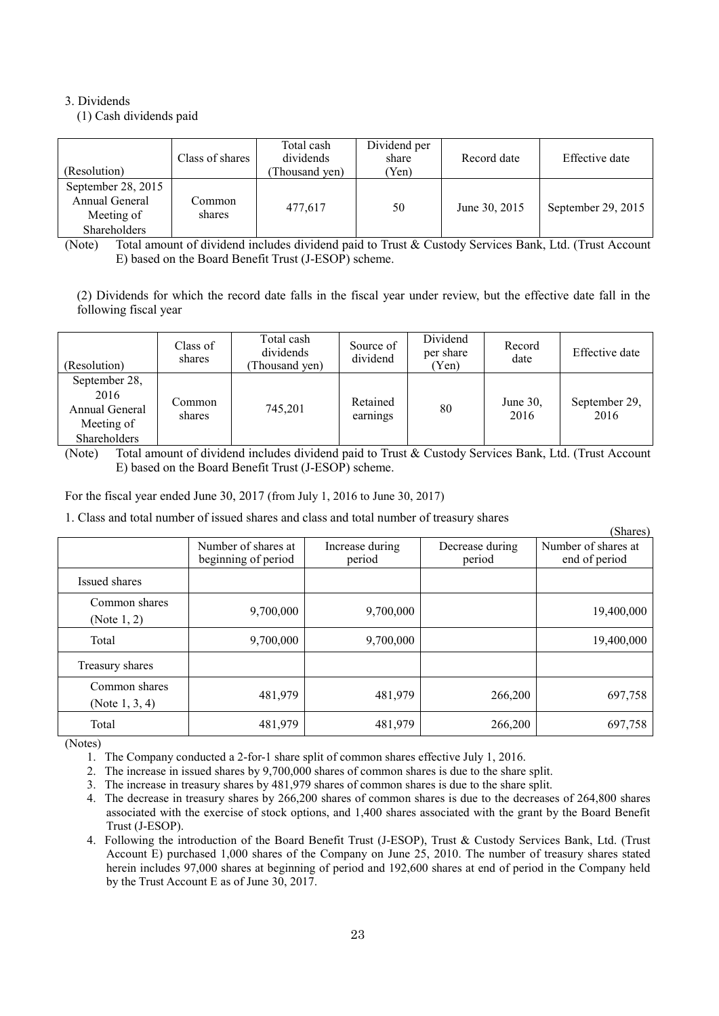## 3. Dividends

(1) Cash dividends paid

| (Resolution)                                                       | Class of shares  | Total cash<br>dividends<br>Thousand yen) | Dividend per<br>share<br>(Yen) | Record date   | Effective date     |
|--------------------------------------------------------------------|------------------|------------------------------------------|--------------------------------|---------------|--------------------|
| September 28, 2015<br>Annual General<br>Meeting of<br>Shareholders | Common<br>shares | 477.617                                  | 50                             | June 30, 2015 | September 29, 2015 |

(Note) Total amount of dividend includes dividend paid to Trust & Custody Services Bank, Ltd. (Trust Account E) based on the Board Benefit Trust (J-ESOP) scheme.

(2) Dividends for which the record date falls in the fiscal year under review, but the effective date fall in the following fiscal year

| (Resolution)                                                          | Class of<br>shares | Total cash<br>dividends<br>Thousand ven) | Source of<br>dividend | Dividend<br>per share<br>(Yen) | Record<br>date      | Effective date        |
|-----------------------------------------------------------------------|--------------------|------------------------------------------|-----------------------|--------------------------------|---------------------|-----------------------|
| September 28,<br>2016<br>Annual General<br>Meeting of<br>Shareholders | Common<br>shares   | 745.201                                  | Retained<br>earnings  | 80                             | June $30$ .<br>2016 | September 29,<br>2016 |

(Note) Total amount of dividend includes dividend paid to Trust & Custody Services Bank, Ltd. (Trust Account E) based on the Board Benefit Trust (J-ESOP) scheme.

For the fiscal year ended June 30, 2017 (from July 1, 2016 to June 30, 2017)

1. Class and total number of issued shares and class and total number of treasury shares

|                                    |                                            |                           |                           | (Shares)                             |
|------------------------------------|--------------------------------------------|---------------------------|---------------------------|--------------------------------------|
|                                    | Number of shares at<br>beginning of period | Increase during<br>period | Decrease during<br>period | Number of shares at<br>end of period |
| Issued shares                      |                                            |                           |                           |                                      |
| Common shares<br>(Note 1, 2)       | 9,700,000                                  | 9,700,000                 |                           | 19,400,000                           |
| Total                              | 9,700,000                                  | 9,700,000                 |                           | 19,400,000                           |
| Treasury shares                    |                                            |                           |                           |                                      |
| Common shares<br>(Note $1, 3, 4$ ) | 481,979                                    | 481,979                   | 266,200                   | 697,758                              |
| Total                              | 481,979                                    | 481,979                   | 266,200                   | 697,758                              |

(Notes)

1. The Company conducted a 2-for-1 share split of common shares effective July 1, 2016.

2. The increase in issued shares by 9,700,000 shares of common shares is due to the share split.

3. The increase in treasury shares by 481,979 shares of common shares is due to the share split.

- 4. The decrease in treasury shares by 266,200 shares of common shares is due to the decreases of 264,800 shares associated with the exercise of stock options, and 1,400 shares associated with the grant by the Board Benefit Trust (J-ESOP).
- 4. Following the introduction of the Board Benefit Trust (J-ESOP), Trust & Custody Services Bank, Ltd. (Trust Account E) purchased 1,000 shares of the Company on June 25, 2010. The number of treasury shares stated herein includes 97,000 shares at beginning of period and 192,600 shares at end of period in the Company held by the Trust Account E as of June 30, 2017.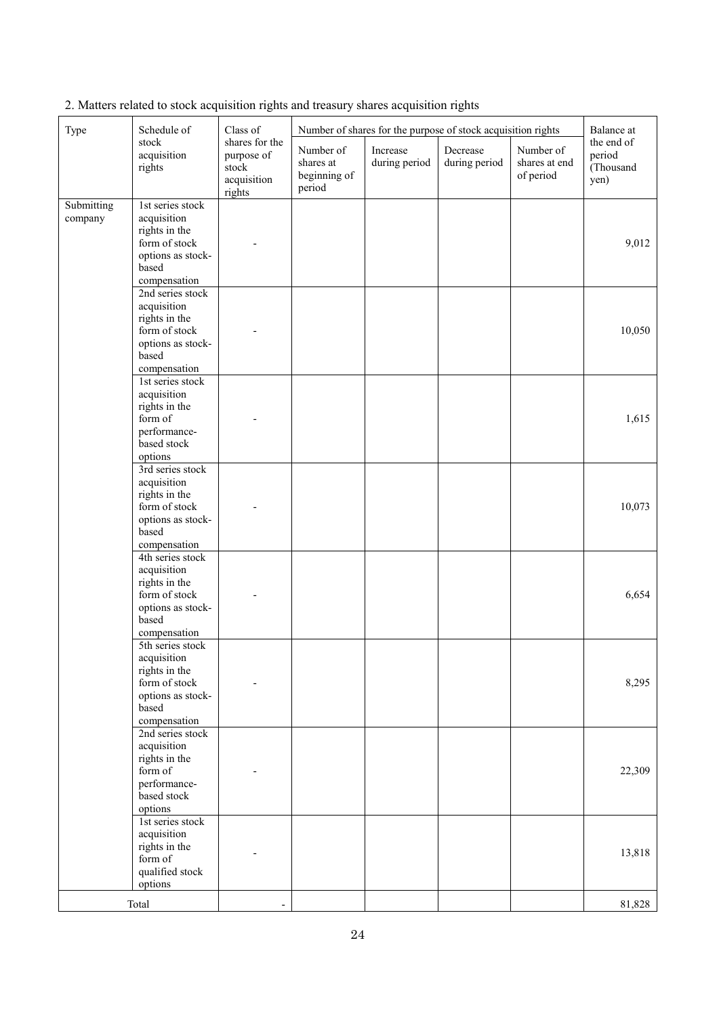| Type                  | Schedule of                                                                                                     | Class of                                                       | Number of shares for the purpose of stock acquisition rights |                           |                           | Balance at                              |                                           |
|-----------------------|-----------------------------------------------------------------------------------------------------------------|----------------------------------------------------------------|--------------------------------------------------------------|---------------------------|---------------------------|-----------------------------------------|-------------------------------------------|
|                       | stock<br>acquisition<br>rights                                                                                  | shares for the<br>purpose of<br>stock<br>acquisition<br>rights | Number of<br>shares at<br>beginning of<br>period             | Increase<br>during period | Decrease<br>during period | Number of<br>shares at end<br>of period | the end of<br>period<br>(Thousand<br>yen) |
| Submitting<br>company | 1st series stock<br>acquisition<br>rights in the<br>form of stock<br>options as stock-<br>based<br>compensation |                                                                |                                                              |                           |                           |                                         | 9,012                                     |
|                       | 2nd series stock<br>acquisition<br>rights in the<br>form of stock<br>options as stock-<br>based<br>compensation |                                                                |                                                              |                           |                           |                                         | 10,050                                    |
|                       | 1st series stock<br>acquisition<br>rights in the<br>form of<br>performance-<br>based stock<br>options           |                                                                |                                                              |                           |                           |                                         | 1,615                                     |
|                       | 3rd series stock<br>acquisition<br>rights in the<br>form of stock<br>options as stock-<br>based<br>compensation |                                                                |                                                              |                           |                           |                                         | 10,073                                    |
|                       | 4th series stock<br>acquisition<br>rights in the<br>form of stock<br>options as stock-<br>based<br>compensation |                                                                |                                                              |                           |                           |                                         | 6,654                                     |
|                       | 5th series stock<br>acquisition<br>rights in the<br>form of stock<br>options as stock-<br>based<br>compensation |                                                                |                                                              |                           |                           |                                         | 8,295                                     |
|                       | 2nd series stock<br>acquisition<br>rights in the<br>form of<br>performance-<br>based stock<br>options           |                                                                |                                                              |                           |                           |                                         | 22,309                                    |
|                       | 1st series stock<br>acquisition<br>rights in the<br>form of<br>qualified stock<br>options                       |                                                                |                                                              |                           |                           |                                         | 13,818                                    |
|                       | Total                                                                                                           |                                                                |                                                              |                           |                           |                                         | 81,828                                    |

2. Matters related to stock acquisition rights and treasury shares acquisition rights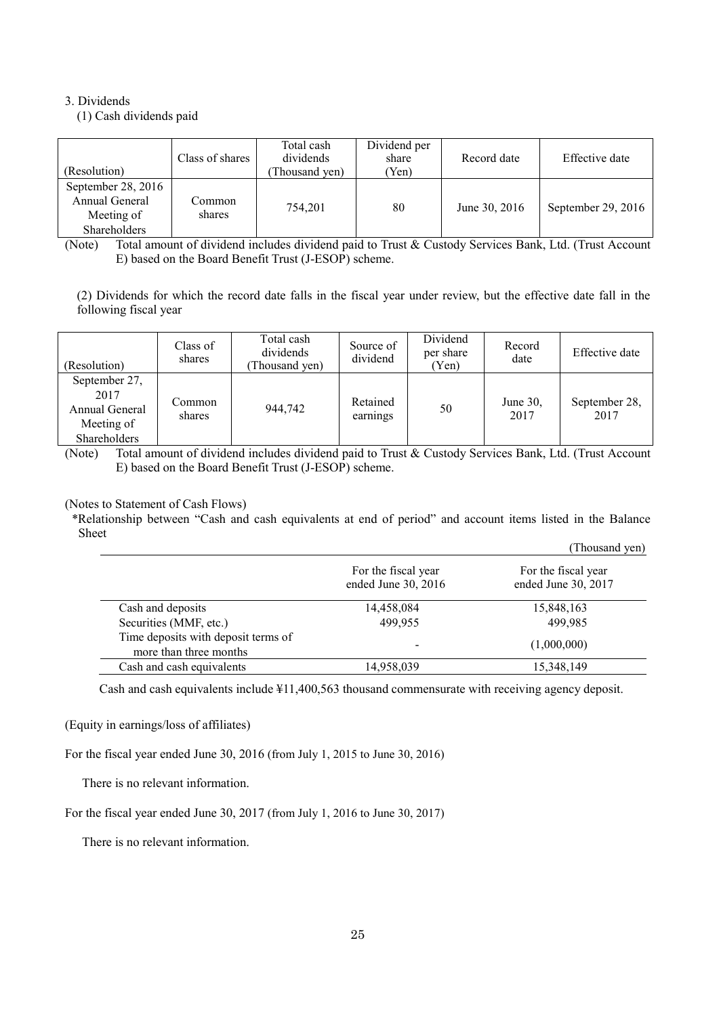## 3. Dividends

(1) Cash dividends paid

| (Resolution)                                                       | Class of shares  | Total cash<br>dividends<br>Thousand yen) | Dividend per<br>share<br>'Yen) | Record date   | Effective date     |
|--------------------------------------------------------------------|------------------|------------------------------------------|--------------------------------|---------------|--------------------|
| September 28, 2016<br>Annual General<br>Meeting of<br>Shareholders | Common<br>shares | 754.201                                  | 80                             | June 30, 2016 | September 29, 2016 |

(Note) Total amount of dividend includes dividend paid to Trust & Custody Services Bank, Ltd. (Trust Account E) based on the Board Benefit Trust (J-ESOP) scheme.

(2) Dividends for which the record date falls in the fiscal year under review, but the effective date fall in the following fiscal year

| (Resolution)                                                          | Class of<br>shares | Total cash<br>dividends<br>Thousand yen) | Source of<br>dividend | Dividend<br>per share<br>(Yen) | Record<br>date      | Effective date        |
|-----------------------------------------------------------------------|--------------------|------------------------------------------|-----------------------|--------------------------------|---------------------|-----------------------|
| September 27,<br>2017<br>Annual General<br>Meeting of<br>Shareholders | Common<br>shares   | 944.742                                  | Retained<br>earnings  | 50                             | June $30$ .<br>2017 | September 28,<br>2017 |

(Note) Total amount of dividend includes dividend paid to Trust & Custody Services Bank, Ltd. (Trust Account E) based on the Board Benefit Trust (J-ESOP) scheme.

(Notes to Statement of Cash Flows)

\*Relationship between "Cash and cash equivalents at end of period" and account items listed in the Balance Sheet

|                                                               |                                            | (Thousand yen)                             |
|---------------------------------------------------------------|--------------------------------------------|--------------------------------------------|
|                                                               | For the fiscal year<br>ended June 30, 2016 | For the fiscal year<br>ended June 30, 2017 |
| Cash and deposits                                             | 14,458,084                                 | 15,848,163                                 |
| Securities (MMF, etc.)                                        | 499.955                                    | 499.985                                    |
| Time deposits with deposit terms of<br>more than three months | $\,$                                       | (1,000,000)                                |
| Cash and cash equivalents                                     | 14,958,039                                 | 15,348,149                                 |

Cash and cash equivalents include ¥11,400,563 thousand commensurate with receiving agency deposit.

(Equity in earnings/loss of affiliates)

For the fiscal year ended June 30, 2016 (from July 1, 2015 to June 30, 2016)

There is no relevant information.

For the fiscal year ended June 30, 2017 (from July 1, 2016 to June 30, 2017)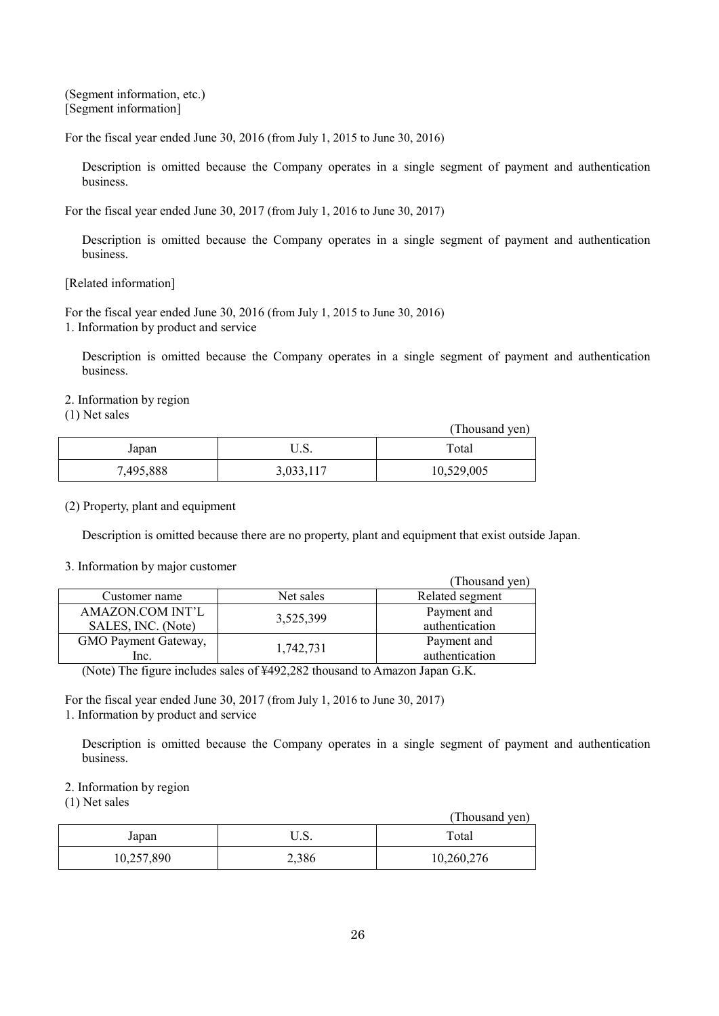(Segment information, etc.) [Segment information]

For the fiscal year ended June 30, 2016 (from July 1, 2015 to June 30, 2016)

Description is omitted because the Company operates in a single segment of payment and authentication business.

For the fiscal year ended June 30, 2017 (from July 1, 2016 to June 30, 2017)

Description is omitted because the Company operates in a single segment of payment and authentication business.

[Related information]

For the fiscal year ended June 30, 2016 (from July 1, 2015 to June 30, 2016) 1. Information by product and service

Description is omitted because the Company operates in a single segment of payment and authentication business.

2. Information by region

(1) Net sales

|           |           | (Thousand yen) |
|-----------|-----------|----------------|
| Japan     | U.S.      | Total          |
| 7,495,888 | 3,033,117 | 10,529,005     |

(2) Property, plant and equipment

Description is omitted because there are no property, plant and equipment that exist outside Japan.

#### 3. Information by major customer

|                         |           | (Thousand yen)  |
|-------------------------|-----------|-----------------|
| Customer name           | Net sales | Related segment |
| <b>AMAZON.COM INT'L</b> | 3,525,399 | Payment and     |
| SALES, INC. (Note)      |           | authentication  |
| GMO Payment Gateway,    | 1,742,731 | Payment and     |
| lnc.                    |           | authentication  |

(Note) The figure includes sales of ¥492,282 thousand to Amazon Japan G.K.

For the fiscal year ended June 30, 2017 (from July 1, 2016 to June 30, 2017) 1. Information by product and service

Description is omitted because the Company operates in a single segment of payment and authentication business.

## 2. Information by region

(1) Net sales

|            |       | (Thousand yen) |
|------------|-------|----------------|
| Japan      | U.S.  | Total          |
| 10,257,890 | 2,386 | 10,260,276     |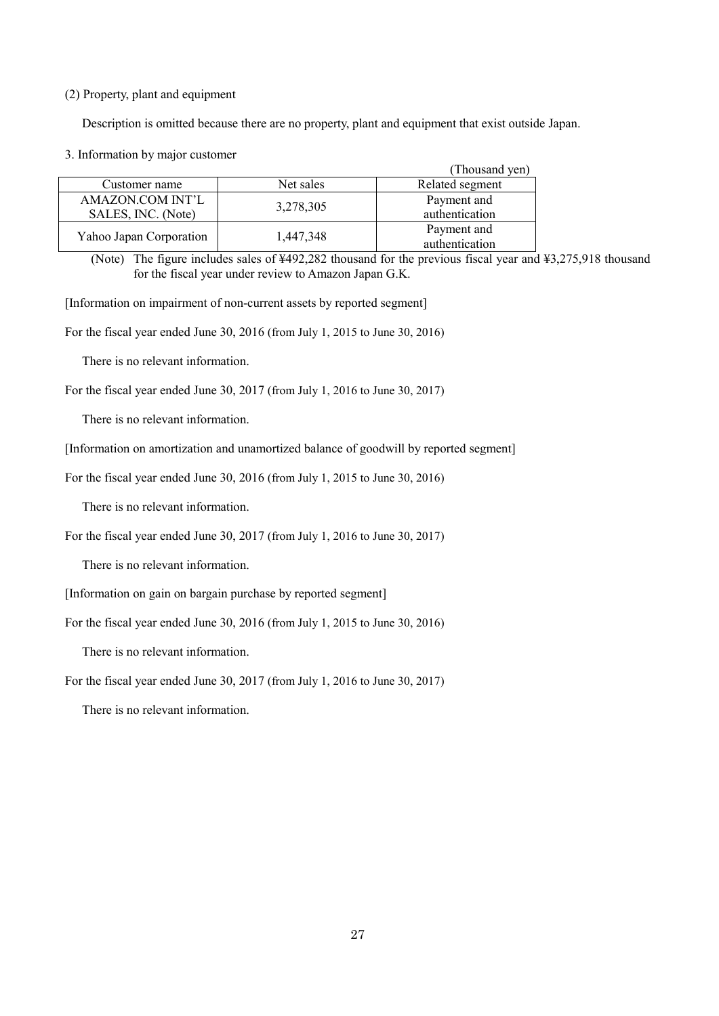### (2) Property, plant and equipment

Description is omitted because there are no property, plant and equipment that exist outside Japan.

3. Information by major customer

|                         |           | (Thousand yen)  |
|-------------------------|-----------|-----------------|
| Customer name           | Net sales | Related segment |
| AMAZON.COM INT'L        | 3,278,305 | Payment and     |
| SALES, INC. (Note)      |           | authentication  |
| Yahoo Japan Corporation |           | Payment and     |
|                         | 1,447,348 | authentication  |

(Note) The figure includes sales of ¥492,282 thousand for the previous fiscal year and ¥3,275,918 thousand for the fiscal year under review to Amazon Japan G.K.

[Information on impairment of non-current assets by reported segment]

For the fiscal year ended June 30, 2016 (from July 1, 2015 to June 30, 2016)

There is no relevant information.

For the fiscal year ended June 30, 2017 (from July 1, 2016 to June 30, 2017)

There is no relevant information.

[Information on amortization and unamortized balance of goodwill by reported segment]

For the fiscal year ended June 30, 2016 (from July 1, 2015 to June 30, 2016)

There is no relevant information.

For the fiscal year ended June 30, 2017 (from July 1, 2016 to June 30, 2017)

There is no relevant information.

[Information on gain on bargain purchase by reported segment]

For the fiscal year ended June 30, 2016 (from July 1, 2015 to June 30, 2016)

There is no relevant information.

For the fiscal year ended June 30, 2017 (from July 1, 2016 to June 30, 2017)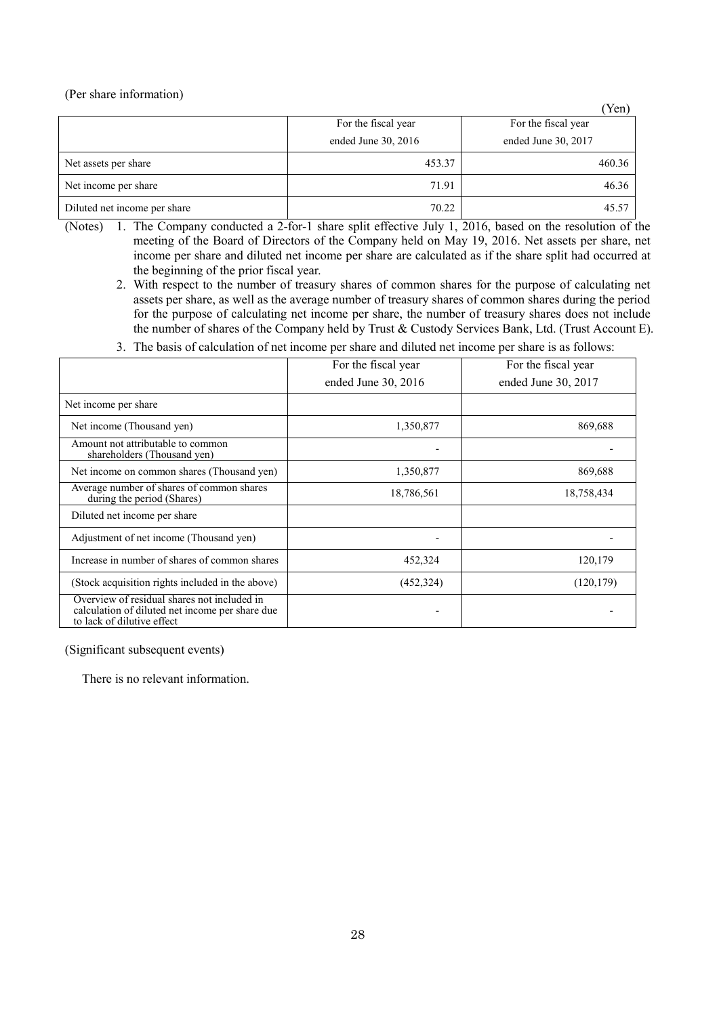(Per share information)

|                              |                     | Yen)                |
|------------------------------|---------------------|---------------------|
|                              | For the fiscal year | For the fiscal year |
|                              | ended June 30, 2016 | ended June 30, 2017 |
| Net assets per share         | 453.37              | 460.36              |
| Net income per share         | 71.91               | 46.36               |
| Diluted net income per share | 70.22               | 45.57               |

- (Notes) 1. The Company conducted a 2-for-1 share split effective July 1, 2016, based on the resolution of the meeting of the Board of Directors of the Company held on May 19, 2016. Net assets per share, net income per share and diluted net income per share are calculated as if the share split had occurred at the beginning of the prior fiscal year.
	- 2. With respect to the number of treasury shares of common shares for the purpose of calculating net assets per share, as well as the average number of treasury shares of common shares during the period for the purpose of calculating net income per share, the number of treasury shares does not include the number of shares of the Company held by Trust & Custody Services Bank, Ltd. (Trust Account E).
	- 3. The basis of calculation of net income per share and diluted net income per share is as follows:

|                                                                                                                              | For the fiscal year | For the fiscal year |
|------------------------------------------------------------------------------------------------------------------------------|---------------------|---------------------|
|                                                                                                                              | ended June 30, 2016 | ended June 30, 2017 |
| Net income per share                                                                                                         |                     |                     |
| Net income (Thousand yen)                                                                                                    | 1,350,877           | 869,688             |
| Amount not attributable to common<br>shareholders (Thousand yen)                                                             |                     |                     |
| Net income on common shares (Thousand yen)                                                                                   | 1,350,877           | 869,688             |
| Average number of shares of common shares<br>during the period (Shares)                                                      | 18,786,561          | 18,758,434          |
| Diluted net income per share                                                                                                 |                     |                     |
| Adjustment of net income (Thousand yen)                                                                                      | ۰                   |                     |
| Increase in number of shares of common shares                                                                                | 452,324             | 120,179             |
| (Stock acquisition rights included in the above)                                                                             | (452, 324)          | (120, 179)          |
| Overview of residual shares not included in<br>calculation of diluted net income per share due<br>to lack of dilutive effect |                     |                     |

(Significant subsequent events)